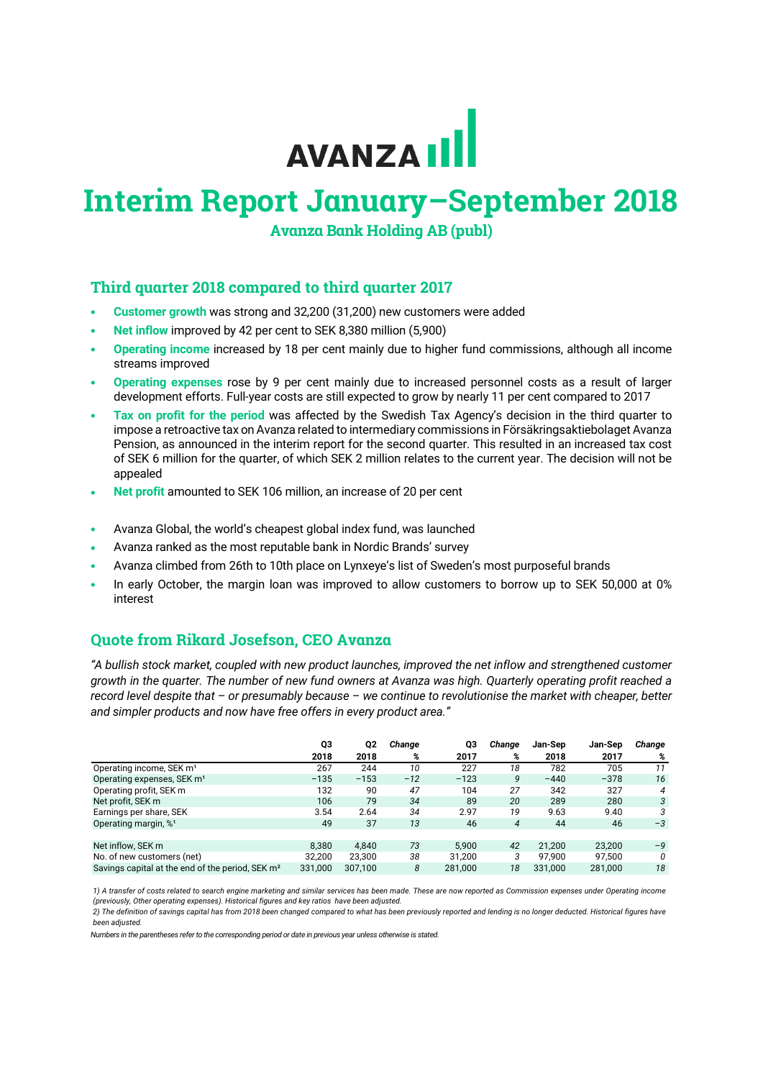# AVANZA III

# **Interim Report January–September 2018**

**Avanza Bank Holding AB (publ)**

# **Third quarter 2018 compared to third quarter 2017**

- **Customer growth** was strong and 32,200 (31,200) new customers were added
- **Net inflow** improved by 42 per cent to SEK 8,380 million (5,900)
- **Operating income** increased by 18 per cent mainly due to higher fund commissions, although all income streams improved
- **Operating expenses** rose by 9 per cent mainly due to increased personnel costs as a result of larger development efforts. Full-year costs are still expected to grow by nearly 11 per cent compared to 2017
- **Tax on profit for the period** was affected by the Swedish Tax Agency's decision in the third quarter to impose a retroactive tax on Avanza related to intermediary commissions in Försäkringsaktiebolaget Avanza Pension, as announced in the interim report for the second quarter. This resulted in an increased tax cost of SEK 6 million for the quarter, of which SEK 2 million relates to the current year. The decision will not be appealed
- **Net profit** amounted to SEK 106 million, an increase of 20 per cent
- Avanza Global, the world's cheapest global index fund, was launched
- Avanza ranked as the most reputable bank in Nordic Brands' survey
- Avanza climbed from 26th to 10th place on Lynxeye's list of Sweden's most purposeful brands
- In early October, the margin loan was improved to allow customers to borrow up to SEK 50,000 at 0% interest

# **Quote from Rikard Josefson, CEO Avanza**

*"A bullish stock market, coupled with new product launches, improved the net inflow and strengthened customer growth in the quarter. The number of new fund owners at Avanza was high. Quarterly operating profit reached a record level despite that – or presumably because – we continue to revolutionise the market with cheaper, better and simpler products and now have free offers in every product area."*

|                                                              | Q3      | Q2      | Change | Q3      | Change | Jan-Sep | Jan-Sep | Change |
|--------------------------------------------------------------|---------|---------|--------|---------|--------|---------|---------|--------|
|                                                              | 2018    | 2018    | %      | 2017    | %      | 2018    | 2017    | %      |
| Operating income, SEK m <sup>1</sup>                         | 267     | 244     | 10     | 227     | 18     | 782     | 705     | 11     |
| Operating expenses, SEK m <sup>1</sup>                       | $-135$  | $-153$  | $-12$  | $-123$  | 9      | $-440$  | $-378$  | 16     |
| Operating profit, SEK m                                      | 132     | 90      | 47     | 104     | 27     | 342     | 327     | 4      |
| Net profit, SEK m                                            | 106     | 79      | 34     | 89      | 20     | 289     | 280     | 3      |
| Earnings per share, SEK                                      | 3.54    | 2.64    | 34     | 2.97    | 19     | 9.63    | 9.40    | 3      |
| Operating margin, % <sup>1</sup>                             | 49      | 37      | 13     | 46      | 4      | 44      | 46      | $-3$   |
|                                                              |         |         |        |         |        |         |         |        |
| Net inflow, SEK m                                            | 8.380   | 4.840   | 73     | 5.900   | 42     | 21.200  | 23.200  | $-9$   |
| No. of new customers (net)                                   | 32.200  | 23.300  | 38     | 31.200  | 3      | 97.900  | 97.500  | 0      |
| Savings capital at the end of the period, SEK m <sup>2</sup> | 331.000 | 307.100 | 8      | 281.000 | 18     | 331.000 | 281.000 | 18     |

1) A transfer of costs related to search engine marketing and similar services has been made. These are now reported as Commission expenses under Operating income *(previously, Other operating expenses). Historical figures and key ratios have been adjusted.* 

2) The definition of savings capital has from 2018 been changed compared to what has been previously reported and lending is no longer deducted. Historical figures have *been adjusted.*

*Numbers in the parentheses refer to the corresponding period or date in previous year unless otherwise is stated.*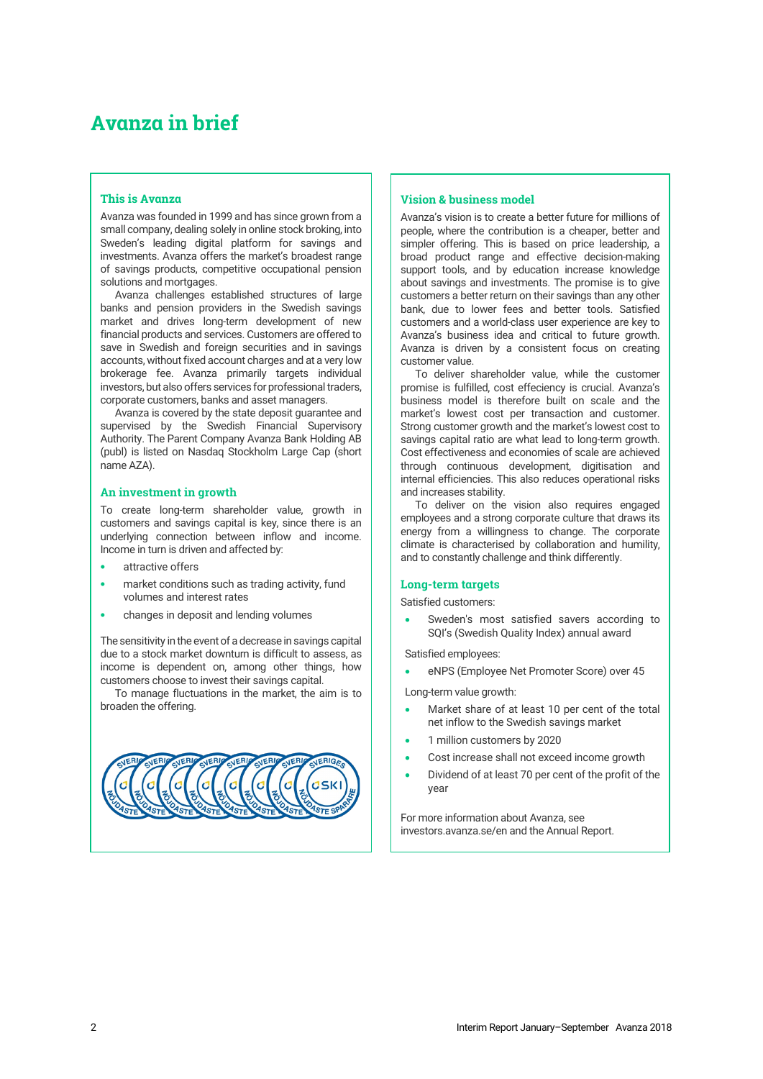# **Avanza in brief**

# **This is Avanza**

Avanza was founded in 1999 and has since grown from a small company, dealing solely in online stock broking, into Sweden's leading digital platform for savings and investments. Avanza offers the market's broadest range of savings products, competitive occupational pension solutions and mortgages.

Avanza challenges established structures of large banks and pension providers in the Swedish savings market and drives long-term development of new financial products and services. Customers are offered to save in Swedish and foreign securities and in savings accounts, without fixed account charges and at a very low brokerage fee. Avanza primarily targets individual investors, but also offers services for professional traders, corporate customers, banks and asset managers.

Avanza is covered by the state deposit guarantee and supervised by the Swedish Financial Supervisory Authority. The Parent Company Avanza Bank Holding AB (publ) is listed on Nasdaq Stockholm Large Cap (short name AZA).

## **An investment in growth**

To create long-term shareholder value, growth in customers and savings capital is key, since there is an underlying connection between inflow and income. Income in turn is driven and affected by:

- attractive offers
- market conditions such as trading activity, fund volumes and interest rates
- changes in deposit and lending volumes

The sensitivity in the event of a decrease in savings capital due to a stock market downturn is difficult to assess, as income is dependent on, among other things, how customers choose to invest their savings capital.

To manage fluctuations in the market, the aim is to broaden the offering.



# **Vision & business model**

Avanza's vision is to create a better future for millions of people, where the contribution is a cheaper, better and simpler offering. This is based on price leadership, a broad product range and effective decision-making support tools, and by education increase knowledge about savings and investments. The promise is to give customers a better return on their savings than any other bank, due to lower fees and better tools. Satisfied customers and a world-class user experience are key to Avanza's business idea and critical to future growth. Avanza is driven by a consistent focus on creating customer value.

To deliver shareholder value, while the customer promise is fulfilled, cost effeciency is crucial. Avanza's business model is therefore built on scale and the market's lowest cost per transaction and customer. Strong customer growth and the market's lowest cost to savings capital ratio are what lead to long-term growth. Cost effectiveness and economies of scale are achieved through continuous development, digitisation and internal efficiencies. This also reduces operational risks and increases stability.

To deliver on the vision also requires engaged employees and a strong corporate culture that draws its energy from a willingness to change. The corporate climate is characterised by collaboration and humility, and to constantly challenge and think differently.

# **Long-term targets**

Satisfied customers:

Sweden's most satisfied savers according to SQI's (Swedish Quality Index) annual award

Satisfied employees:

• eNPS (Employee Net Promoter Score) over 45

- Long-term value growth:
- Market share of at least 10 per cent of the total net inflow to the Swedish savings market
- 1 million customers by 2020
- Cost increase shall not exceed income growth
- Dividend of at least 70 per cent of the profit of the year

For more information about Avanza, see [investors.avanza.se/en](http://investors.avanza.se/en) and th[e Annual Report.](http://investors.avanza.se/en/avanza-publishes-annual-and-sustainability-report-2017-0)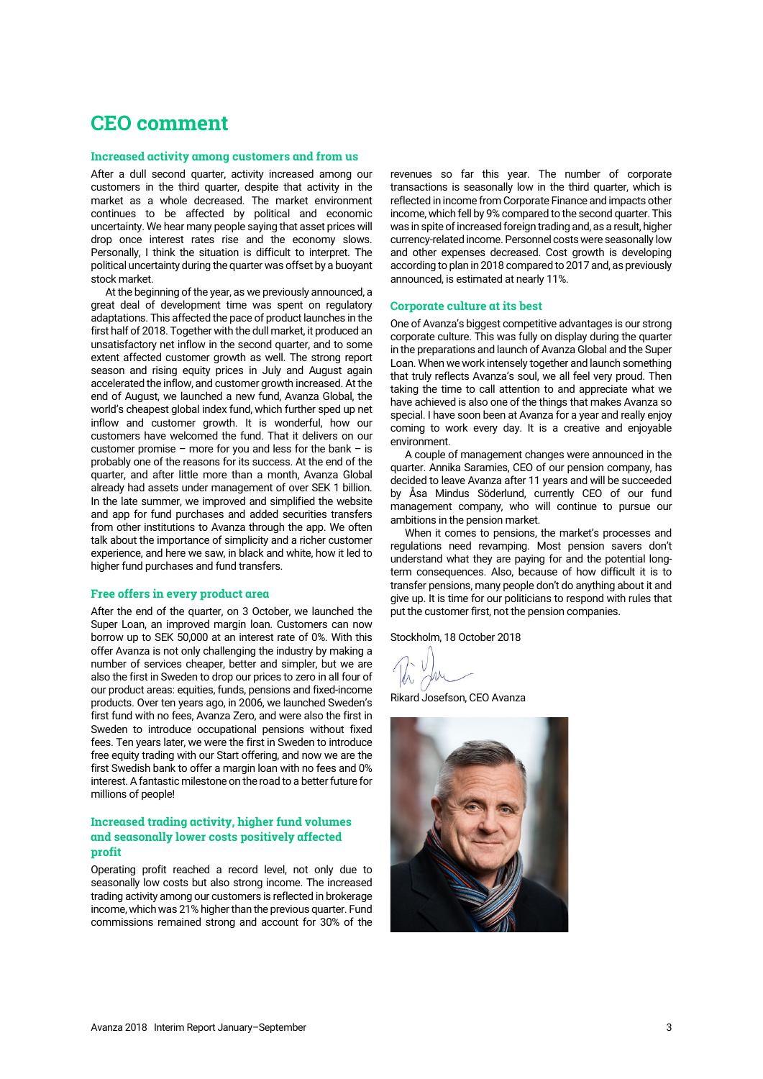# **CEO comment**

## **Increased activity among customers and from us**

After a dull second quarter, activity increased among our customers in the third quarter, despite that activity in the market as a whole decreased. The market environment continues to be affected by political and economic uncertainty. We hear many people saying that asset prices will drop once interest rates rise and the economy slows. Personally, I think the situation is difficult to interpret. The political uncertainty during the quarter was offset by a buoyant stock market.

At the beginning of the year, as we previously announced, a great deal of development time was spent on regulatory adaptations. This affected the pace of product launches in the first half of 2018. Together with the dull market, it produced an unsatisfactory net inflow in the second quarter, and to some extent affected customer growth as well. The strong report season and rising equity prices in July and August again accelerated the inflow, and customer growth increased. At the end of August, we launched a new fund, Avanza Global, the world's cheapest global index fund, which further sped up net inflow and customer growth. It is wonderful, how our customers have welcomed the fund. That it delivers on our customer promise – more for you and less for the bank – is probably one of the reasons for its success. At the end of the quarter, and after little more than a month, Avanza Global already had assets under management of over SEK 1 billion. In the late summer, we improved and simplified the website and app for fund purchases and added securities transfers from other institutions to Avanza through the app. We often talk about the importance of simplicity and a richer customer experience, and here we saw, in black and white, how it led to higher fund purchases and fund transfers.

## **Free offers in every product area**

After the end of the quarter, on 3 October, we launched the Super Loan, an improved margin loan. Customers can now borrow up to SEK 50,000 at an interest rate of 0%. With this offer Avanza is not only challenging the industry by making a number of services cheaper, better and simpler, but we are also the first in Sweden to drop our prices to zero in all four of our product areas: equities, funds, pensions and fixed-income products. Over ten years ago, in 2006, we launched Sweden's first fund with no fees, Avanza Zero, and were also the first in Sweden to introduce occupational pensions without fixed fees. Ten years later, we were the first in Sweden to introduce free equity trading with our Start offering, and now we are the first Swedish bank to offer a margin loan with no fees and 0% interest. A fantastic milestone on the road to a better future for millions of people!

# **Increased trading activity, higher fund volumes and seasonally lower costs positively affected profit**

Operating profit reached a record level, not only due to seasonally low costs but also strong income. The increased trading activity among our customers is reflected in brokerage income, which was 21% higher than the previous quarter. Fund commissions remained strong and account for 30% of the

revenues so far this year. The number of corporate transactions is seasonally low in the third quarter, which is reflected in income from Corporate Finance and impacts other income, which fell by 9% compared to the second quarter. This was in spite of increased foreign trading and, as a result, higher currency-related income. Personnel costs were seasonally low and other expenses decreased. Cost growth is developing according to plan in 2018 compared to 2017 and, as previously announced, is estimated at nearly 11%.

## **Corporate culture at its best**

One of Avanza's biggest competitive advantages is our strong corporate culture. This was fully on display during the quarter in the preparations and launch of Avanza Global and the Super Loan. When we work intensely together and launch something that truly reflects Avanza's soul, we all feel very proud. Then taking the time to call attention to and appreciate what we have achieved is also one of the things that makes Avanza so special. I have soon been at Avanza for a year and really enjoy coming to work every day. It is a creative and enjoyable environment.

A couple of management changes were announced in the quarter. Annika Saramies, CEO of our pension company, has decided to leave Avanza after 11 years and will be succeeded by Åsa Mindus Söderlund, currently CEO of our fund management company, who will continue to pursue our ambitions in the pension market.

When it comes to pensions, the market's processes and regulations need revamping. Most pension savers don't understand what they are paying for and the potential longterm consequences. Also, because of how difficult it is to transfer pensions, many people don't do anything about it and give up. It is time for our politicians to respond with rules that put the customer first, not the pension companies.

Stockholm, 18 October 2018

Rikard Josefson, CEO Avanza

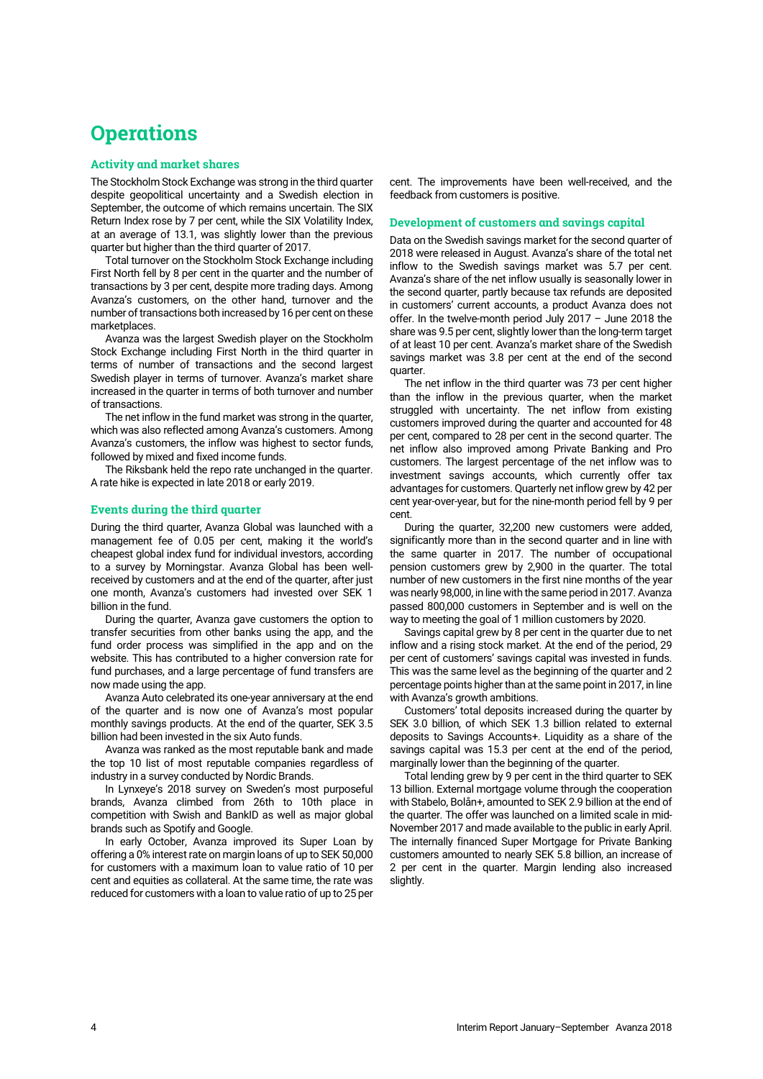# **Operations**

# **Activity and market shares**

The Stockholm Stock Exchange was strong in the third quarter despite geopolitical uncertainty and a Swedish election in September, the outcome of which remains uncertain. The SIX Return Index rose by 7 per cent, while the SIX Volatility Index, at an average of 13.1, was slightly lower than the previous quarter but higher than the third quarter of 2017.

Total turnover on the Stockholm Stock Exchange including First North fell by 8 per cent in the quarter and the number of transactions by 3 per cent, despite more trading days. Among Avanza's customers, on the other hand, turnover and the number of transactions both increased by 16 per cent on these marketplaces.

Avanza was the largest Swedish player on the Stockholm Stock Exchange including First North in the third quarter in terms of number of transactions and the second largest Swedish player in terms of turnover. Avanza's market share increased in the quarter in terms of both turnover and number of transactions.

The net inflow in the fund market was strong in the quarter, which was also reflected among Avanza's customers. Among Avanza's customers, the inflow was highest to sector funds, followed by mixed and fixed income funds.

The Riksbank held the repo rate unchanged in the quarter. A rate hike is expected in late 2018 or early 2019.

# **Events during the third quarter**

During the third quarter, Avanza Global was launched with a management fee of 0.05 per cent, making it the world's cheapest global index fund for individual investors, according to a survey by Morningstar. Avanza Global has been wellreceived by customers and at the end of the quarter, after just one month, Avanza's customers had invested over SEK 1 billion in the fund.

During the quarter, Avanza gave customers the option to transfer securities from other banks using the app, and the fund order process was simplified in the app and on the website. This has contributed to a higher conversion rate for fund purchases, and a large percentage of fund transfers are now made using the app.

Avanza Auto celebrated its one-year anniversary at the end of the quarter and is now one of Avanza's most popular monthly savings products. At the end of the quarter, SEK 3.5 billion had been invested in the six Auto funds.

Avanza was ranked as the most reputable bank and made the top 10 list of most reputable companies regardless of industry in a survey conducted by Nordic Brands.

In Lynxeye's 2018 survey on Sweden's most purposeful brands, Avanza climbed from 26th to 10th place in competition with Swish and BankID as well as major global brands such as Spotify and Google.

In early October, Avanza improved its Super Loan by offering a 0% interest rate on margin loans of up to SEK 50,000 for customers with a maximum loan to value ratio of 10 per cent and equities as collateral. At the same time, the rate was reduced for customers with a loan to value ratio of up to 25 per

cent. The improvements have been well-received, and the feedback from customers is positive.

## **Development of customers and savings capital**

Data on the Swedish savings market for the second quarter of 2018 were released in August. Avanza's share of the total net inflow to the Swedish savings market was 5.7 per cent. Avanza's share of the net inflow usually is seasonally lower in the second quarter, partly because tax refunds are deposited in customers' current accounts, a product Avanza does not offer. In the twelve-month period July 2017 – June 2018 the share was 9.5 per cent, slightly lower than the long-term target of at least 10 per cent. Avanza's market share of the Swedish savings market was 3.8 per cent at the end of the second quarter.

The net inflow in the third quarter was 73 per cent higher than the inflow in the previous quarter, when the market struggled with uncertainty. The net inflow from existing customers improved during the quarter and accounted for 48 per cent, compared to 28 per cent in the second quarter. The net inflow also improved among Private Banking and Pro customers. The largest percentage of the net inflow was to investment savings accounts, which currently offer tax advantages for customers. Quarterly net inflow grew by 42 per cent year-over-year, but for the nine-month period fell by 9 per cent.

During the quarter, 32,200 new customers were added, significantly more than in the second quarter and in line with the same quarter in 2017. The number of occupational pension customers grew by 2,900 in the quarter. The total number of new customers in the first nine months of the year was nearly 98,000, in line with the same period in 2017. Avanza passed 800,000 customers in September and is well on the way to meeting the goal of 1 million customers by 2020.

Savings capital grew by 8 per cent in the quarter due to net inflow and a rising stock market. At the end of the period, 29 per cent of customers' savings capital was invested in funds. This was the same level as the beginning of the quarter and 2 percentage points higher than at the same point in 2017, in line with Avanza's growth ambitions.

Customers' total deposits increased during the quarter by SEK 3.0 billion, of which SEK 1.3 billion related to external deposits to Savings Accounts+. Liquidity as a share of the savings capital was 15.3 per cent at the end of the period, marginally lower than the beginning of the quarter.

Total lending grew by 9 per cent in the third quarter to SEK 13 billion. External mortgage volume through the cooperation with Stabelo, Bolån+, amounted to SEK 2.9 billion at the end of the quarter. The offer was launched on a limited scale in mid-November 2017 and made available to the public in early April. The internally financed Super Mortgage for Private Banking customers amounted to nearly SEK 5.8 billion, an increase of 2 per cent in the quarter. Margin lending also increased slightly.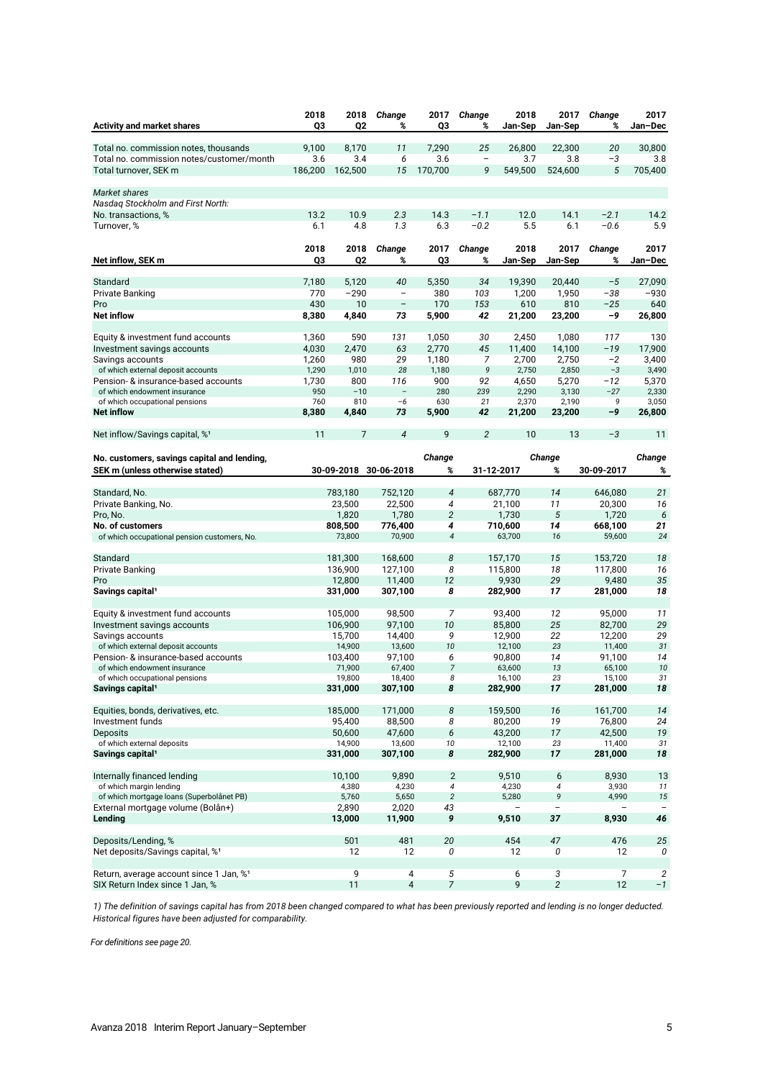| <b>Activity and market shares</b>                                         | 2018<br>Q3   | 2018<br>Q <sub>2</sub> | Change<br>%              | 2017<br>Q3          | Change<br>%             | 2018<br>Jan-Sep   | 2017<br>Jan-Sep          | Change<br>%       | 2017<br>Jan-Dec |
|---------------------------------------------------------------------------|--------------|------------------------|--------------------------|---------------------|-------------------------|-------------------|--------------------------|-------------------|-----------------|
|                                                                           |              |                        |                          |                     |                         |                   |                          |                   |                 |
| Total no. commission notes, thousands                                     | 9,100<br>3.6 | 8,170<br>3.4           | 11                       | 7,290<br>3.6        | 25<br>$\qquad \qquad -$ | 26.800<br>3.7     | 22,300<br>3.8            | 20<br>$-3$        | 30,800          |
| Total no. commission notes/customer/month<br>Total turnover, SEK m        | 186,200      | 162,500                | 6<br>15                  | 170,700             | 9                       | 549,500           | 524,600                  | 5                 | 3.8<br>705,400  |
|                                                                           |              |                        |                          |                     |                         |                   |                          |                   |                 |
| Market shares                                                             |              |                        |                          |                     |                         |                   |                          |                   |                 |
| Nasdag Stockholm and First North:                                         |              |                        |                          |                     |                         |                   |                          |                   |                 |
| No. transactions, %                                                       | 13.2         | 10.9                   | 2.3                      | 14.3                | $-1.1$                  | 12.0              | 14.1                     | $-2.1$            | 14.2            |
| Turnover, %                                                               | 6.1          | 4.8                    | 1.3                      | 6.3                 | $-0.2$                  | 5.5               | 6.1                      | $-0.6$            | 5.9             |
|                                                                           | 2018         | 2018                   | Change                   | 2017                | Change                  | 2018              | 2017                     | Change            | 2017            |
| Net inflow, SEK m                                                         | Q3           | Q <sub>2</sub>         | %                        | Q3                  | %                       | Jan-Sep           | Jan-Sep                  | %                 | Jan-Dec         |
|                                                                           |              |                        |                          |                     |                         |                   |                          |                   |                 |
| Standard                                                                  | 7,180        | 5,120                  | 40                       | 5,350               | 34                      | 19,390            | 20,440                   | $-5$              | 27,090          |
| <b>Private Banking</b>                                                    | 770          | $-290$                 | $\overline{\phantom{a}}$ | 380                 | 103                     | 1,200             | 1,950                    | -38               | $-930$          |
| Pro<br><b>Net inflow</b>                                                  | 430<br>8,380 | 10<br>4,840            | $\qquad \qquad -$<br>73  | 170<br>5,900        | 153<br>42               | 610<br>21,200     | 810<br>23,200            | $-25$<br>-9       | 640<br>26,800   |
|                                                                           |              |                        |                          |                     |                         |                   |                          |                   |                 |
| Equity & investment fund accounts                                         | 1,360        | 590                    | 131                      | 1,050               | 30                      | 2,450             | 1,080                    | 117               | 130             |
| Investment savings accounts                                               | 4,030        | 2,470                  | 63                       | 2,770               | 45                      | 11,400            | 14,100                   | $-19$             | 17,900          |
| Savings accounts                                                          | 1,260        | 980                    | 29                       | 1,180               | 7                       | 2,700             | 2,750                    | $-2$              | 3,400           |
| of which external deposit accounts                                        | 1,290        | 1,010                  | 28                       | 1,180               | 9                       | 2,750             | 2,850                    | $-3$              | 3,490           |
| Pension- & insurance-based accounts<br>of which endowment insurance       | 1,730<br>950 | 800<br>$-10$           | 116                      | 900<br>280          | 92<br>239               | 4,650<br>2,290    | 5,270<br>3,130           | $-12$<br>$-27$    | 5,370<br>2,330  |
| of which occupational pensions                                            | 760          | 810                    | $-6$                     | 630                 | 21                      | 2,370             | 2,190                    | 9                 | 3,050           |
| <b>Net inflow</b>                                                         | 8,380        | 4,840                  | 73                       | 5,900               | 42                      | 21,200            | 23,200                   | -9                | 26,800          |
| Net inflow/Savings capital, %1                                            | 11           | 7                      | $\overline{4}$           | 9                   | 2                       | 10                | 13                       | $-3$              | 11              |
|                                                                           |              |                        |                          |                     |                         |                   |                          |                   |                 |
| No. customers, savings capital and lending,                               |              |                        |                          | Change              |                         |                   | Change                   |                   | Change          |
| SEK m (unless otherwise stated)                                           |              |                        | 30-09-2018 30-06-2018    | %                   |                         | 31-12-2017        | %                        | 30-09-2017        | %               |
|                                                                           |              |                        |                          |                     |                         |                   |                          |                   |                 |
| Standard, No.                                                             |              | 783,180<br>23,500      | 752,120<br>22,500        | $\overline{4}$<br>4 |                         | 687,770<br>21,100 | 14<br>11                 | 646,080<br>20,300 | 21<br>16        |
| Private Banking, No.<br>Pro, No.                                          |              | 1,820                  | 1,780                    | $\overline{c}$      |                         | 1,730             | 5                        | 1,720             | 6               |
| No. of customers                                                          |              | 808,500                | 776,400                  | 4                   |                         | 710,600           | 14                       | 668,100           | 21              |
| of which occupational pension customers, No.                              |              | 73,800                 | 70,900                   | 4                   |                         | 63,700            | 16                       | 59,600            | 24              |
|                                                                           |              |                        |                          |                     |                         |                   |                          |                   |                 |
| Standard                                                                  |              | 181,300                | 168,600                  | 8                   |                         | 157,170           | 15                       | 153,720           | 18              |
| <b>Private Banking</b><br>Pro                                             |              | 136,900<br>12,800      | 127,100<br>11,400        | 8<br>12             |                         | 115,800<br>9,930  | 18<br>29                 | 117,800<br>9,480  | 16<br>35        |
| Savings capital <sup>1</sup>                                              |              | 331,000                | 307,100                  | 8                   |                         | 282,900           | 17                       | 281,000           | 18              |
|                                                                           |              |                        |                          |                     |                         |                   |                          |                   |                 |
| Equity & investment fund accounts                                         |              | 105,000                | 98,500                   | 7                   |                         | 93,400            | 12                       | 95.000            | 11              |
| Investment savings accounts                                               |              | 106,900                | 97,100                   | 10                  |                         | 85,800            | 25                       | 82,700            | 29              |
| Savings accounts                                                          |              | 15,700                 | 14,400                   | 9                   |                         | 12,900            | 22                       | 12,200            | 29              |
| of which external deposit accounts<br>Pension- & insurance-based accounts |              | 14,900<br>103,400      | 13,600<br>97,100         | 10<br>6             |                         | 12,100<br>90,800  | 23<br>14                 | 11,400<br>91,100  | 31<br>14        |
| of which endowment insurance                                              |              | 71,900                 | 67,400                   | $\overline{7}$      |                         | 63,600            | 13                       | 65,100            | 10              |
| of which occupational pensions                                            |              | 19,800                 | 18,400                   | 8                   |                         | 16,100            | 23                       | 15,100            | 31              |
| Savings capital <sup>1</sup>                                              |              | 331,000                | 307,100                  | 8                   |                         | 282,900           | 17                       | 281,000           | 18              |
| Equities, bonds, derivatives, etc.                                        |              | 185,000                | 171,000                  | 8                   |                         | 159,500           | 16                       | 161,700           | 14              |
| Investment funds                                                          |              | 95,400                 | 88,500                   | 8                   |                         | 80,200            | 19                       | 76,800            | 24              |
| <b>Deposits</b>                                                           |              | 50,600                 | 47,600                   | 6                   |                         | 43,200            | 17                       | 42,500            | 19              |
| of which external deposits                                                |              | 14,900                 | 13,600                   | 10                  |                         | 12,100            | 23                       | 11,400            | 31              |
| Savings capital <sup>1</sup>                                              |              | 331,000                | 307,100                  | 8                   |                         | 282,900           | 17                       | 281,000           | 18              |
| Internally financed lending                                               |              | 10,100                 | 9,890                    | $\overline{2}$      |                         | 9,510             | 6                        | 8.930             | 13              |
| of which margin lending                                                   |              | 4,380                  | 4,230                    | $\overline{4}$      |                         | 4,230             | $\overline{\mathcal{A}}$ | 3,930             | 11              |
| of which mortgage loans (Superbolånet PB)                                 |              | 5,760                  | 5,650                    | $\overline{2}$      |                         | 5,280             | 9                        | 4,990             | 15              |
| External mortgage volume (Bolån+)                                         |              | 2,890                  | 2,020                    | 43                  |                         |                   |                          |                   |                 |
| Lending                                                                   |              | 13,000                 | 11,900                   | 9                   |                         | 9,510             | 37                       | 8,930             | 46              |
| Deposits/Lending, %                                                       |              | 501                    | 481                      | 20                  |                         | 454               | 47                       | 476               | 25              |
| Net deposits/Savings capital, % <sup>1</sup>                              |              | 12                     | 12                       | 0                   |                         | 12                | 0                        | 12                | 0               |
| Return, average account since 1 Jan, % <sup>1</sup>                       |              | 9                      | 4                        | 5                   |                         | 6                 | 3                        | 7                 | 2               |
| SIX Return Index since 1 Jan, %                                           |              | $11$                   | $\overline{\mathbf{4}}$  | $\overline{7}$      |                         | 9                 | $\sqrt{2}$               | 12                | $-1$            |

*1) The definition of savings capital has from 2018 been changed compared to what has been previously reported and lending is no longer deducted. Historical figures have been adjusted for comparability.*

*For definitions see page 20.*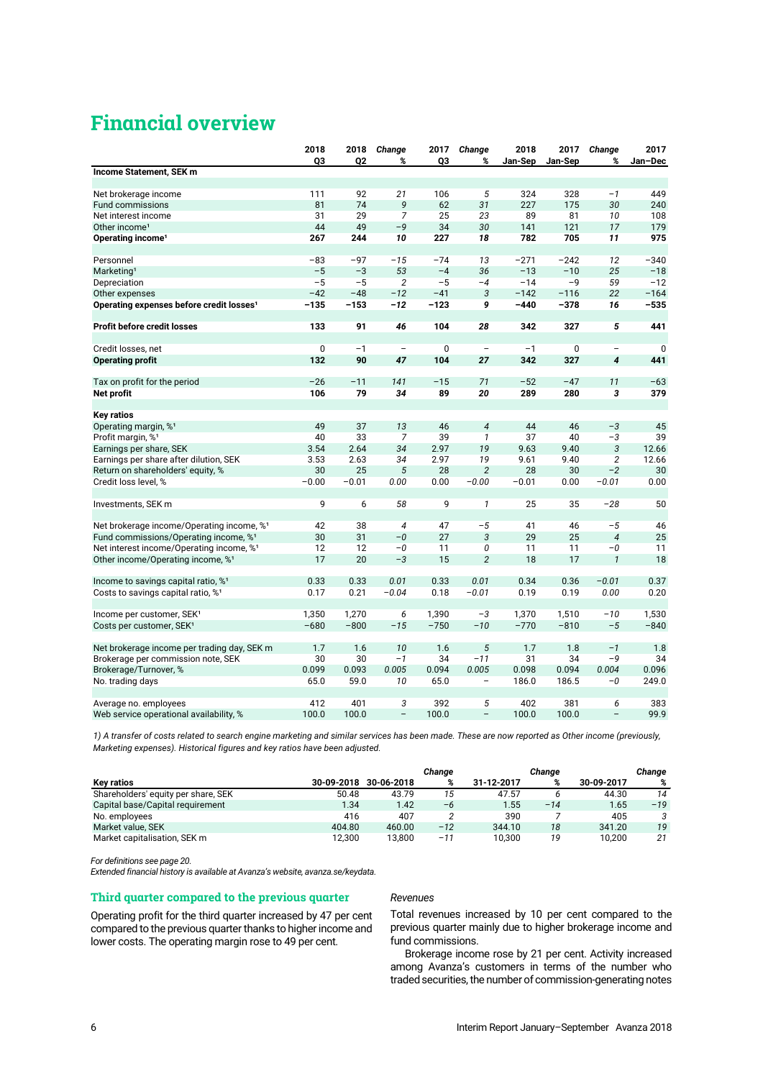# **Financial overview**

|                                                       | 2018        | 2018           | Change                   | 2017     | Change                   | 2018    | 2017         | Change                   | 2017     |
|-------------------------------------------------------|-------------|----------------|--------------------------|----------|--------------------------|---------|--------------|--------------------------|----------|
|                                                       | Q3          | Q <sub>2</sub> | %                        | Q3       | %                        | Jan-Sep | Jan-Sep      | %                        | Jan-Dec  |
| Income Statement, SEK m                               |             |                |                          |          |                          |         |              |                          |          |
|                                                       |             |                |                          |          |                          |         |              |                          |          |
| Net brokerage income                                  | 111         | 92             | 21                       | 106      | 5                        | 324     | 328          | $-1$                     | 449      |
| <b>Fund commissions</b>                               | 81          | 74             | 9                        | 62       | 31                       | 227     | 175          | 30                       | 240      |
| Net interest income                                   | 31          | 29             | $\overline{7}$           | 25       | 23                       | 89      | 81           | 10                       | 108      |
| Other income <sup>1</sup>                             | 44          | 49             | $-9$                     | 34       | 30                       | 141     | 121          | 17                       | 179      |
| Operating income <sup>1</sup>                         | 267         | 244            | 10                       | 227      | 18                       | 782     | 705          | 11                       | 975      |
|                                                       |             |                |                          |          |                          |         |              |                          |          |
| Personnel                                             | $-83$       | -97            | $-15$                    | $-74$    | 13                       | $-271$  | $-242$       | 12                       | $-340$   |
| Marketing <sup>1</sup>                                | $-5$        | $-3$           | 53                       | $-4$     | 36                       | $-13$   | $-10$        | 25                       | $-18$    |
| Depreciation                                          | $-5$        | $-5$           | 2                        | $-5$     | $-4$                     | $-14$   | $-9$         | 59                       | $-12$    |
| Other expenses                                        | $-42$       | $-48$          | $-12$                    | $-41$    | 3                        | $-142$  | $-116$       | 22                       | $-164$   |
| Operating expenses before credit losses <sup>1</sup>  | $-135$      | $-153$         | $-12$                    | $-123$   | 9                        | $-440$  | $-378$       | 16                       | $-535$   |
| <b>Profit before credit losses</b>                    | 133         | 91             | 46                       | 104      | 28                       | 342     | 327          | 5                        | 441      |
|                                                       |             |                |                          |          |                          |         |              |                          |          |
| Credit losses, net                                    | $\mathbf 0$ | $-1$           | $\overline{\phantom{a}}$ | $\Omega$ | $\overline{\phantom{a}}$ | $-1$    | $\mathbf{0}$ | $\overline{\phantom{0}}$ | $\Omega$ |
| <b>Operating profit</b>                               | 132         | 90             | 47                       | 104      | 27                       | 342     | 327          | $\overline{\mathbf{4}}$  | 441      |
|                                                       |             |                |                          |          |                          |         |              |                          |          |
| Tax on profit for the period                          | $-26$       | $-11$          | 141                      | $-15$    | 71                       | $-52$   | $-47$        | 11                       | $-63$    |
| Net profit                                            | 106         | 79             | 34                       | 89       | 20                       | 289     | 280          | 3                        | 379      |
|                                                       |             |                |                          |          |                          |         |              |                          |          |
| <b>Key ratios</b>                                     |             |                |                          |          |                          |         |              |                          |          |
| Operating margin, % <sup>1</sup>                      | 49          | 37             | 13                       | 46       | $\sqrt{4}$               | 44      | 46           | $-3$                     | 45       |
| Profit margin, % <sup>1</sup>                         | 40          | 33             | 7                        | 39       | $\mathbf{1}$             | 37      | 40           | $-3$                     | 39       |
| Earnings per share, SEK                               | 3.54        | 2.64           | 34                       | 2.97     | 19                       | 9.63    | 9.40         | 3                        | 12.66    |
| Earnings per share after dilution, SEK                | 3.53        | 2.63           | 34                       | 2.97     | 19                       | 9.61    | 9.40         | $\overline{c}$           | 12.66    |
| Return on shareholders' equity, %                     | 30          | 25             | 5                        | 28       | $\overline{2}$           | 28      | 30           | $-2$                     | 30       |
| Credit loss level, %                                  | $-0.00$     | $-0.01$        | 0.00                     | 0.00     | $-0.00$                  | $-0.01$ | 0.00         | $-0.01$                  | 0.00     |
|                                                       |             |                |                          |          |                          |         |              |                          |          |
| Investments, SEK m                                    | 9           | 6              | 58                       | 9        | $\mathbf{1}$             | 25      | 35           | $-28$                    | 50       |
|                                                       |             |                |                          |          |                          |         |              |                          |          |
| Net brokerage income/Operating income, % <sup>1</sup> | 42          | 38             | $\overline{4}$           | 47       | $-5$                     | 41      | 46           | $-5$                     | 46       |
| Fund commissions/Operating income, % <sup>1</sup>     | 30          | 31             | $-0$                     | 27       | 3                        | 29      | 25           | $\overline{4}$           | 25       |
| Net interest income/Operating income, % <sup>1</sup>  | 12          | 12             | $-0$                     | 11       | 0                        | 11      | 11           | $-0$                     | 11       |
| Other income/Operating income, % <sup>1</sup>         | 17          | 20             | $-3$                     | 15       | $\overline{c}$           | 18      | 17           | $\mathbf{1}$             | 18       |
| Income to savings capital ratio, % <sup>1</sup>       | 0.33        | 0.33           | 0.01                     | 0.33     | 0.01                     | 0.34    | 0.36         | $-0.01$                  | 0.37     |
| Costs to savings capital ratio, % <sup>1</sup>        | 0.17        | 0.21           | $-0.04$                  | 0.18     | $-0.01$                  | 0.19    | 0.19         | 0.00                     | 0.20     |
|                                                       |             |                |                          |          |                          |         |              |                          |          |
| Income per customer, SEK <sup>1</sup>                 | 1,350       | 1,270          | 6                        | 1,390    | $-3$                     | 1,370   | 1,510        | $-10$                    | 1,530    |
| Costs per customer, SEK <sup>1</sup>                  | $-680$      | $-800$         | $-15$                    | $-750$   | $-10$                    | $-770$  | $-810$       | $-5$                     | $-840$   |
|                                                       |             |                |                          |          |                          |         |              |                          |          |
| Net brokerage income per trading day, SEK m           | 1.7         | 1.6            | 10                       | 1.6      | 5                        | 1.7     | 1.8          | $-1$                     | 1.8      |
| Brokerage per commission note, SEK                    | 30          | 30             | $-1$                     | 34       | $-11$                    | 31      | 34           | $-9$                     | 34       |
| Brokerage/Turnover, %                                 | 0.099       | 0.093          | 0.005                    | 0.094    | 0.005                    | 0.098   | 0.094        | 0.004                    | 0.096    |
| No. trading days                                      | 65.0        | 59.0           | 10                       | 65.0     |                          | 186.0   | 186.5        | $-0$                     | 249.0    |
|                                                       |             |                |                          |          |                          |         |              |                          |          |
| Average no. employees                                 | 412         | 401            | 3                        | 392      | 5                        | 402     | 381          | 6                        | 383      |
| Web service operational availability, %               | 100.0       | 100.0          | $\overline{\phantom{0}}$ | 100.0    | $\overline{\phantom{0}}$ | 100.0   | 100.0        |                          | 99.9     |

*1) A transfer of costs related to search engine marketing and similar services has been made. These are now reported as Other income (previously, Marketing expenses). Historical figures and key ratios have been adjusted.* 

|                                     |            |            | Change |            | Change |            | Chanae |
|-------------------------------------|------------|------------|--------|------------|--------|------------|--------|
| <b>Kev ratios</b>                   | 30-09-2018 | 30-06-2018 | %      | 31-12-2017 | %      | 30-09-2017 | %      |
| Shareholders' equity per share, SEK | 50.48      | 43.79      | 15     | 47.57      |        | 44.30      | 14     |
| Capital base/Capital requirement    | 1.34       | 1.42       | $-6$   | 1.55       | $-14$  | 1.65       | $-19$  |
| No. employees                       | 416        | 407        |        | 390        |        | 405        |        |
| Market value, SEK                   | 404.80     | 460.00     | $-12$  | 344.10     | 18     | 341.20     | 19     |
| Market capitalisation, SEK m        | 12.300     | 13.800     | $-11$  | 10,300     | 19     | 10.200     | 21     |

*For definitions see page 20.*

*Extended financial history is available at Avanza's website, avanza.se/keydata.*

# **Third quarter compared to the previous quarter**

Operating profit for the third quarter increased by 47 per cent compared to the previous quarter thanks to higher income and lower costs. The operating margin rose to 49 per cent.

## *Revenues*

Total revenues increased by 10 per cent compared to the previous quarter mainly due to higher brokerage income and fund commissions.

Brokerage income rose by 21 per cent. Activity increased among Avanza's customers in terms of the number who traded securities, the number of commission-generating notes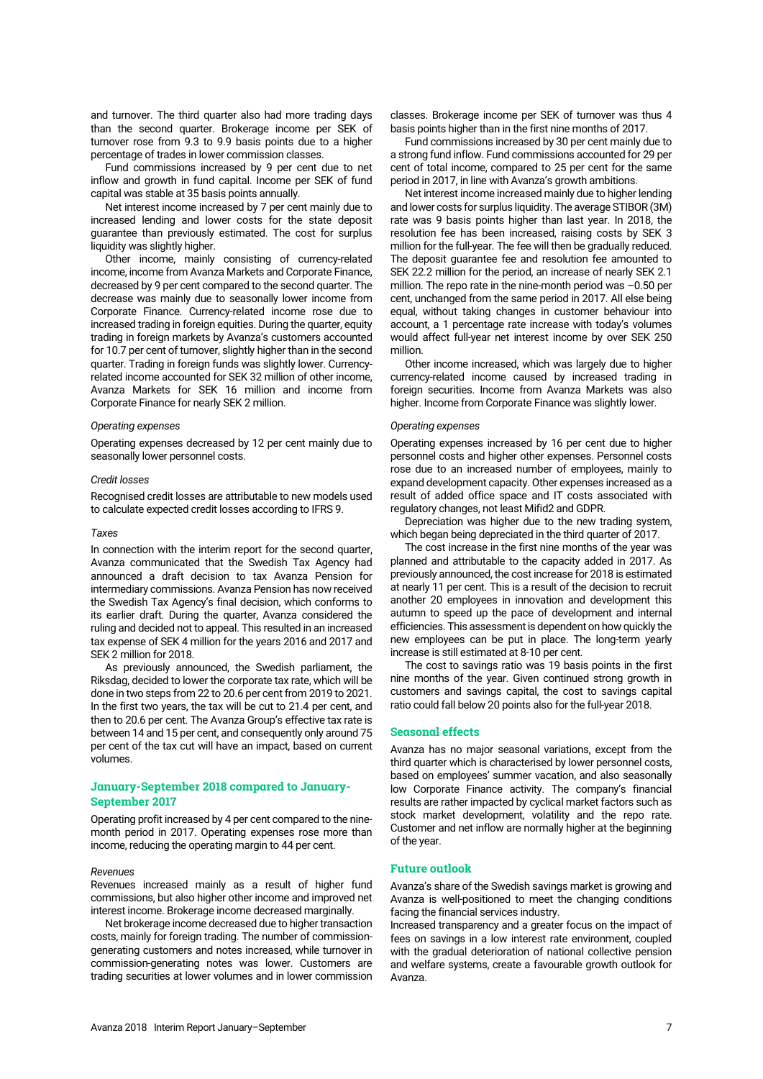and turnover. The third quarter also had more trading days than the second quarter. Brokerage income per SEK of turnover rose from 9.3 to 9.9 basis points due to a higher percentage of trades in lower commission classes.

Fund commissions increased by 9 per cent due to net inflow and growth in fund capital. Income per SEK of fund capital was stable at 35 basis points annually.

Net interest income increased by 7 per cent mainly due to increased lending and lower costs for the state deposit guarantee than previously estimated. The cost for surplus liquidity was slightly higher.

Other income, mainly consisting of currency-related income, income from Avanza Markets and Corporate Finance, decreased by 9 per cent compared to the second quarter. The decrease was mainly due to seasonally lower income from Corporate Finance. Currency-related income rose due to increased trading in foreign equities. During the quarter, equity trading in foreign markets by Avanza's customers accounted for 10.7 per cent of turnover, slightly higher than in the second quarter. Trading in foreign funds was slightly lower. Currencyrelated income accounted for SEK 32 million of other income, Avanza Markets for SEK 16 million and income from Corporate Finance for nearly SEK 2 million.

#### *Operating expenses*

Operating expenses decreased by 12 per cent mainly due to seasonally lower personnel costs.

#### *Credit losses*

Recognised credit losses are attributable to new models used to calculate expected credit losses according to IFRS 9.

#### *Taxes*

In connection with the interim report for the second quarter, Avanza communicated that the Swedish Tax Agency had announced a draft decision to tax Avanza Pension for intermediary commissions. Avanza Pension has now received the Swedish Tax Agency's final decision, which conforms to its earlier draft. During the quarter, Avanza considered the ruling and decided not to appeal. This resulted in an increased tax expense of SEK 4 million for the years 2016 and 2017 and SEK 2 million for 2018.

As previously announced, the Swedish parliament, the Riksdag, decided to lower the corporate tax rate, which will be done in two steps from 22 to 20.6 per cent from 2019 to 2021. In the first two years, the tax will be cut to 21.4 per cent, and then to 20.6 per cent. The Avanza Group's effective tax rate is between 14 and 15 per cent, and consequently only around 75 per cent of the tax cut will have an impact, based on current volumes.

# **January-September 2018 compared to January-September 2017**

Operating profit increased by 4 per cent compared to the ninemonth period in 2017. Operating expenses rose more than income, reducing the operating margin to 44 per cent.

## *Revenues*

Revenues increased mainly as a result of higher fund commissions, but also higher other income and improved net interest income. Brokerage income decreased marginally.

Net brokerage income decreased due to higher transaction costs, mainly for foreign trading. The number of commissiongenerating customers and notes increased, while turnover in commission-generating notes was lower. Customers are trading securities at lower volumes and in lower commission

classes. Brokerage income per SEK of turnover was thus 4 basis points higher than in the first nine months of 2017.

Fund commissions increased by 30 per cent mainly due to a strong fund inflow. Fund commissions accounted for 29 per cent of total income, compared to 25 per cent for the same period in 2017, in line with Avanza's growth ambitions.

Net interest income increased mainly due to higher lending and lower costs for surplus liquidity. The average STIBOR (3M) rate was 9 basis points higher than last year. In 2018, the resolution fee has been increased, raising costs by SEK 3 million for the full-year. The fee will then be gradually reduced. The deposit guarantee fee and resolution fee amounted to SEK 22.2 million for the period, an increase of nearly SEK 2.1 million. The repo rate in the nine-month period was –0.50 per cent, unchanged from the same period in 2017. All else being equal, without taking changes in customer behaviour into account, a 1 percentage rate increase with today's volumes would affect full-year net interest income by over SEK 250 million.

Other income increased, which was largely due to higher currency-related income caused by increased trading in foreign securities. Income from Avanza Markets was also higher. Income from Corporate Finance was slightly lower.

#### *Operating expenses*

Operating expenses increased by 16 per cent due to higher personnel costs and higher other expenses. Personnel costs rose due to an increased number of employees, mainly to expand development capacity. Other expenses increased as a result of added office space and IT costs associated with regulatory changes, not least Mifid2 and GDPR.

Depreciation was higher due to the new trading system, which began being depreciated in the third quarter of 2017.

The cost increase in the first nine months of the year was planned and attributable to the capacity added in 2017. As previously announced, the cost increase for 2018 is estimated at nearly 11 per cent. This is a result of the decision to recruit another 20 employees in innovation and development this autumn to speed up the pace of development and internal efficiencies. This assessment is dependent on how quickly the new employees can be put in place. The long-term yearly increase is still estimated at 8-10 per cent.

The cost to savings ratio was 19 basis points in the first nine months of the year. Given continued strong growth in customers and savings capital, the cost to savings capital ratio could fall below 20 points also for the full-year 2018.

## **Seasonal effects**

Avanza has no major seasonal variations, except from the third quarter which is characterised by lower personnel costs, based on employees' summer vacation, and also seasonally low Corporate Finance activity. The company's financial results are rather impacted by cyclical market factors such as stock market development, volatility and the repo rate. Customer and net inflow are normally higher at the beginning of the year.

## **Future outlook**

Avanza's share of the Swedish savings market is growing and Avanza is well-positioned to meet the changing conditions facing the financial services industry.

Increased transparency and a greater focus on the impact of fees on savings in a low interest rate environment, coupled with the gradual deterioration of national collective pension and welfare systems, create a favourable growth outlook for Avanza.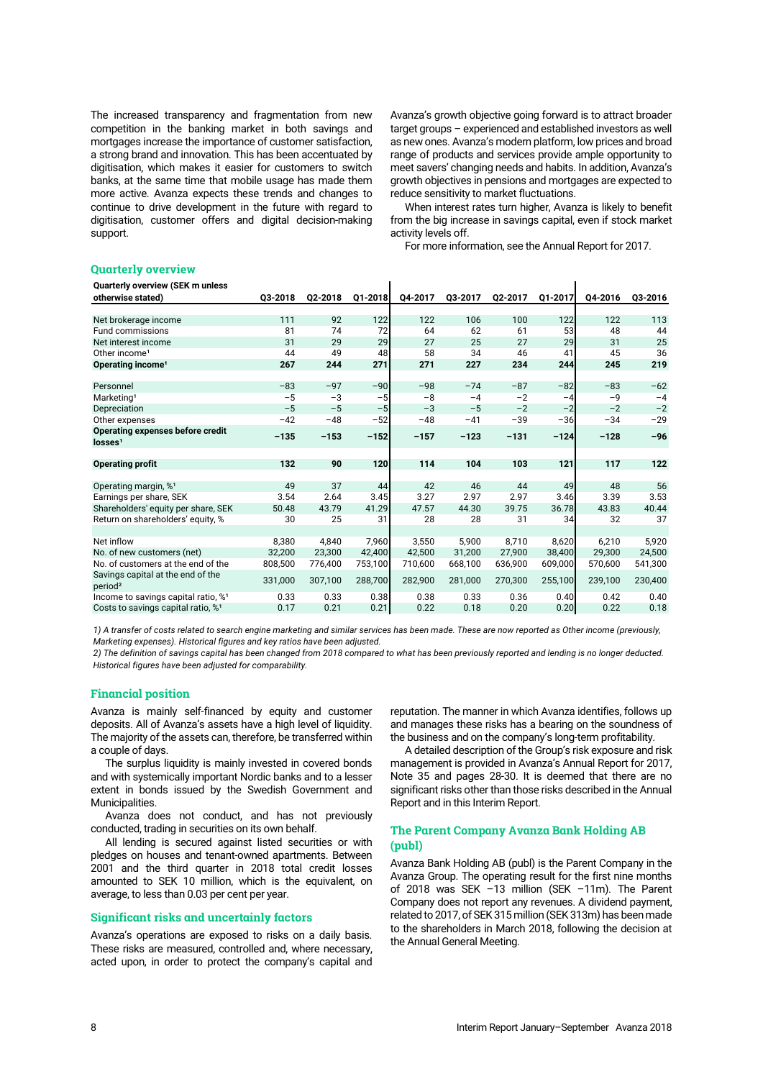The increased transparency and fragmentation from new competition in the banking market in both savings and mortgages increase the importance of customer satisfaction, a strong brand and innovation. This has been accentuated by digitisation, which makes it easier for customers to switch banks, at the same time that mobile usage has made them more active. Avanza expects these trends and changes to continue to drive development in the future with regard to digitisation, customer offers and digital decision-making support.

Avanza's growth objective going forward is to attract broader target groups – experienced and established investors as well as new ones. Avanza's modern platform, low prices and broad range of products and services provide ample opportunity to meet savers' changing needs and habits. In addition, Avanza's growth objectives in pensions and mortgages are expected to reduce sensitivity to market fluctuations.

When interest rates turn higher, Avanza is likely to benefit from the big increase in savings capital, even if stock market activity levels off.

For more information, see the Annual Report for 2017.

 $\mathbf{I}$ 

# **Quarterly overview**

|  |  | Quarterly overview (SEK m unless |
|--|--|----------------------------------|
|--|--|----------------------------------|

| <b>QUALLELLY OVELVIEW (OLK III UIIIESS</b><br>otherwise stated) | 03-2018 | Q2-2018 | Q1-2018 | Q4-2017 | Q3-2017 | Q2-2017 | Q1-2017 | Q4-2016 | Q3-2016 |
|-----------------------------------------------------------------|---------|---------|---------|---------|---------|---------|---------|---------|---------|
|                                                                 |         |         |         |         |         |         |         |         |         |
| Net brokerage income                                            | 111     | 92      | 122     | 122     | 106     | 100     | 122     | 122     | 113     |
| Fund commissions                                                | 81      | 74      | 72      | 64      | 62      | 61      | 53      | 48      | 44      |
| Net interest income                                             | 31      | 29      | 29      | 27      | 25      | 27      | 29      | 31      | 25      |
| Other income <sup>1</sup>                                       | 44      | 49      | 48      | 58      | 34      | 46      | 41      | 45      | 36      |
| Operating income <sup>1</sup>                                   | 267     | 244     | 271     | 271     | 227     | 234     | 244     | 245     | 219     |
|                                                                 |         |         |         |         |         |         |         |         |         |
| Personnel                                                       | $-83$   | $-97$   | $-90$   | $-98$   | $-74$   | $-87$   | $-82$   | $-83$   | $-62$   |
| Marketing <sup>1</sup>                                          | $-5$    | $-3$    | $-5$    | $-8$    | $-4$    | $-2$    | $-4$    | $-9$    | $-4$    |
| Depreciation                                                    | $-5$    | $-5$    | $-5$    | $-3$    | $-5$    | $-2$    | $-2$    | $-2$    | $-2$    |
| Other expenses                                                  | $-42$   | $-48$   | $-52$   | $-48$   | $-41$   | $-39$   | $-36$   | $-34$   | $-29$   |
| Operating expenses before credit                                | $-135$  | $-153$  | $-152$  | $-157$  | $-123$  | $-131$  | $-124$  | $-128$  | $-96$   |
| losses <sup>1</sup>                                             |         |         |         |         |         |         |         |         |         |
|                                                                 |         |         |         |         |         |         |         |         |         |
| <b>Operating profit</b>                                         | 132     | 90      | 120     | 114     | 104     | 103     | 121     | 117     | 122     |
|                                                                 |         |         |         |         |         |         |         |         |         |
| Operating margin, % <sup>1</sup>                                | 49      | 37      | 44      | 42      | 46      | 44      | 49      | 48      | 56      |
| Earnings per share, SEK                                         | 3.54    | 2.64    | 3.45    | 3.27    | 2.97    | 2.97    | 3.46    | 3.39    | 3.53    |
| Shareholders' equity per share, SEK                             | 50.48   | 43.79   | 41.29   | 47.57   | 44.30   | 39.75   | 36.78   | 43.83   | 40.44   |
| Return on shareholders' equity, %                               | 30      | 25      | 31      | 28      | 28      | 31      | 34      | 32      | 37      |
|                                                                 |         |         |         |         |         |         |         |         |         |
| Net inflow                                                      | 8.380   | 4.840   | 7,960   | 3,550   | 5,900   | 8,710   | 8.620   | 6.210   | 5,920   |
| No. of new customers (net)                                      | 32,200  | 23.300  | 42,400  | 42.500  | 31.200  | 27.900  | 38,400  | 29.300  | 24,500  |
| No. of customers at the end of the                              | 808,500 | 776,400 | 753,100 | 710,600 | 668,100 | 636,900 | 609,000 | 570,600 | 541,300 |
| Savings capital at the end of the<br>period <sup>2</sup>        | 331,000 | 307,100 | 288,700 | 282,900 | 281,000 | 270,300 | 255,100 | 239,100 | 230,400 |
| Income to savings capital ratio, %1                             | 0.33    | 0.33    | 0.38    | 0.38    | 0.33    | 0.36    | 0.40    | 0.42    | 0.40    |
| Costs to savings capital ratio, % <sup>1</sup>                  | 0.17    | 0.21    | 0.21    | 0.22    | 0.18    | 0.20    | 0.20    | 0.22    | 0.18    |
|                                                                 |         |         |         |         |         |         |         |         |         |

 $\mathbf{r}$ 

*1) A transfer of costs related to search engine marketing and similar services has been made. These are now reported as Other income (previously, Marketing expenses). Historical figures and key ratios have been adjusted.* 

*2) The definition of savings capital has been changed from 2018 compared to what has been previously reported and lending is no longer deducted. Historical figures have been adjusted for comparability.*

# **Financial position**

Avanza is mainly self-financed by equity and customer deposits. All of Avanza's assets have a high level of liquidity. The majority of the assets can, therefore, be transferred within a couple of days.

The surplus liquidity is mainly invested in covered bonds and with systemically important Nordic banks and to a lesser extent in bonds issued by the Swedish Government and Municipalities.

Avanza does not conduct, and has not previously conducted, trading in securities on its own behalf.

All lending is secured against listed securities or with pledges on houses and tenant-owned apartments. Between 2001 and the third quarter in 2018 total credit losses amounted to SEK 10 million, which is the equivalent, on average, to less than 0.03 per cent per year.

# **Significant risks and uncertainly factors**

Avanza's operations are exposed to risks on a daily basis. These risks are measured, controlled and, where necessary, acted upon, in order to protect the company's capital and

reputation. The manner in which Avanza identifies, follows up and manages these risks has a bearing on the soundness of the business and on the company's long-term profitability.

A detailed description of the Group's risk exposure and risk management is provided in Avanza's Annual Report for 2017, Note 35 and pages 28-30. It is deemed that there are no significant risks other than those risks described in the Annual Report and in this Interim Report.

# **The Parent Company Avanza Bank Holding AB (publ)**

Avanza Bank Holding AB (publ) is the Parent Company in the Avanza Group. The operating result for the first nine months of 2018 was SEK –13 million (SEK –11m). The Parent Company does not report any revenues. A dividend payment, related to 2017, of SEK 315million (SEK 313m) has been made to the shareholders in March 2018, following the decision at the Annual General Meeting.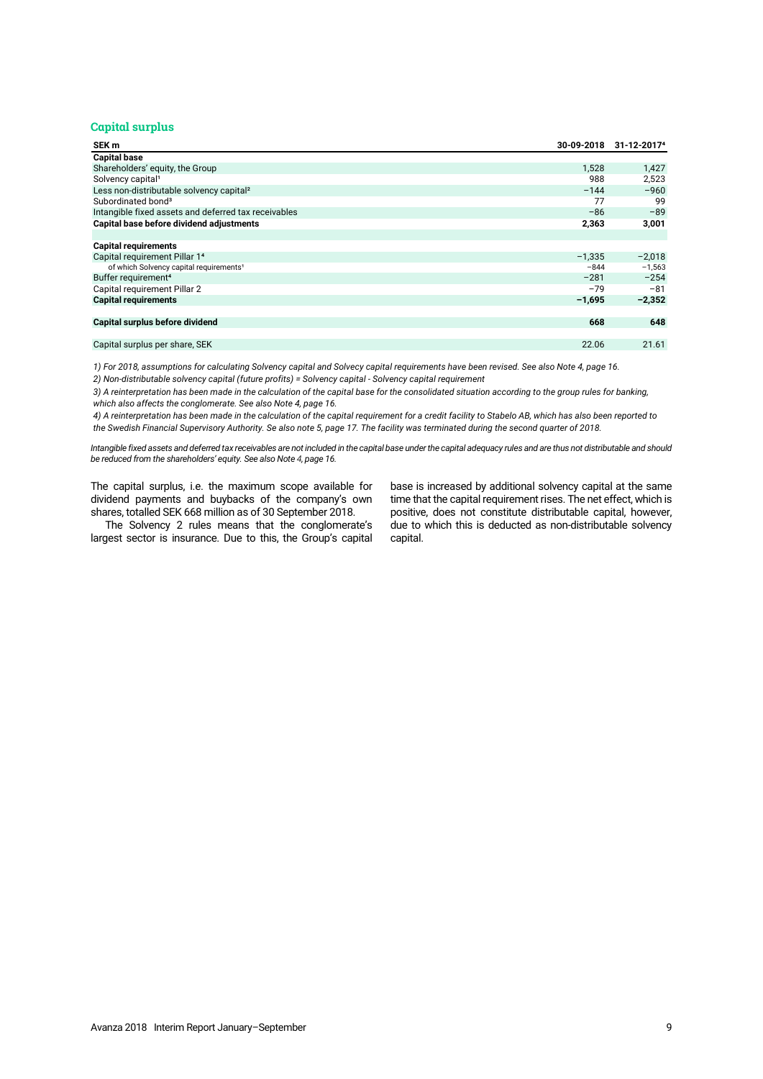# **Capital surplus**

| SEK m                                                | 30-09-2018 | 31-12-2017 <sup>4</sup> |
|------------------------------------------------------|------------|-------------------------|
| <b>Capital base</b>                                  |            |                         |
| Shareholders' equity, the Group                      | 1,528      | 1,427                   |
| Solvency capital <sup>1</sup>                        | 988        | 2,523                   |
| Less non-distributable solvency capital <sup>2</sup> | $-144$     | $-960$                  |
| Subordinated bond <sup>3</sup>                       | 77         | 99                      |
| Intangible fixed assets and deferred tax receivables | $-86$      | $-89$                   |
| Capital base before dividend adjustments             | 2,363      | 3,001                   |
|                                                      |            |                         |
| <b>Capital requirements</b>                          |            |                         |
| Capital requirement Pillar 14                        | $-1.335$   | $-2,018$                |
| of which Solvency capital requirements <sup>1</sup>  | $-844$     | $-1,563$                |
| Buffer requirement <sup>4</sup>                      | $-281$     | $-254$                  |
| Capital requirement Pillar 2                         | $-79$      | $-81$                   |
| <b>Capital requirements</b>                          | $-1,695$   | $-2,352$                |
|                                                      |            |                         |
| Capital surplus before dividend                      | 668        | 648                     |
|                                                      |            |                         |
| Capital surplus per share, SEK                       | 22.06      | 21.61                   |

*2) Non-distributable solvency capital (future profits) = Solvency capital - Solvency capital requirement 1) For 2018, assumptions for calculating Solvency capital and Solvecy capital requirements have been revised. See also Note 4, page 16.*

*3) A reinterpretation has been made in the calculation of the capital base for the consolidated situation according to the group rules for banking, which also affects the conglomerate. See also Note 4, page 16.*

*4) A reinterpretation has been made in the calculation of the capital requirement for a credit facility to Stabelo AB, which has also been reported to the Swedish Financial Supervisory Authority. Se also note 5, page 17. The facility was terminated during the second quarter of 2018.*

*Intangible fixed assets and deferred tax receivables are not included in the capital base under the capital adequacy rules and are thus not distributable and should be reduced from the shareholders' equity. See also Note 4, page 16.*

The capital surplus, i.e. the maximum scope available for dividend payments and buybacks of the company's own shares, totalled SEK 668 million as of 30 September 2018.

The Solvency 2 rules means that the conglomerate's largest sector is insurance. Due to this, the Group's capital base is increased by additional solvency capital at the same time that the capital requirement rises. The net effect, which is positive, does not constitute distributable capital, however, due to which this is deducted as non-distributable solvency capital.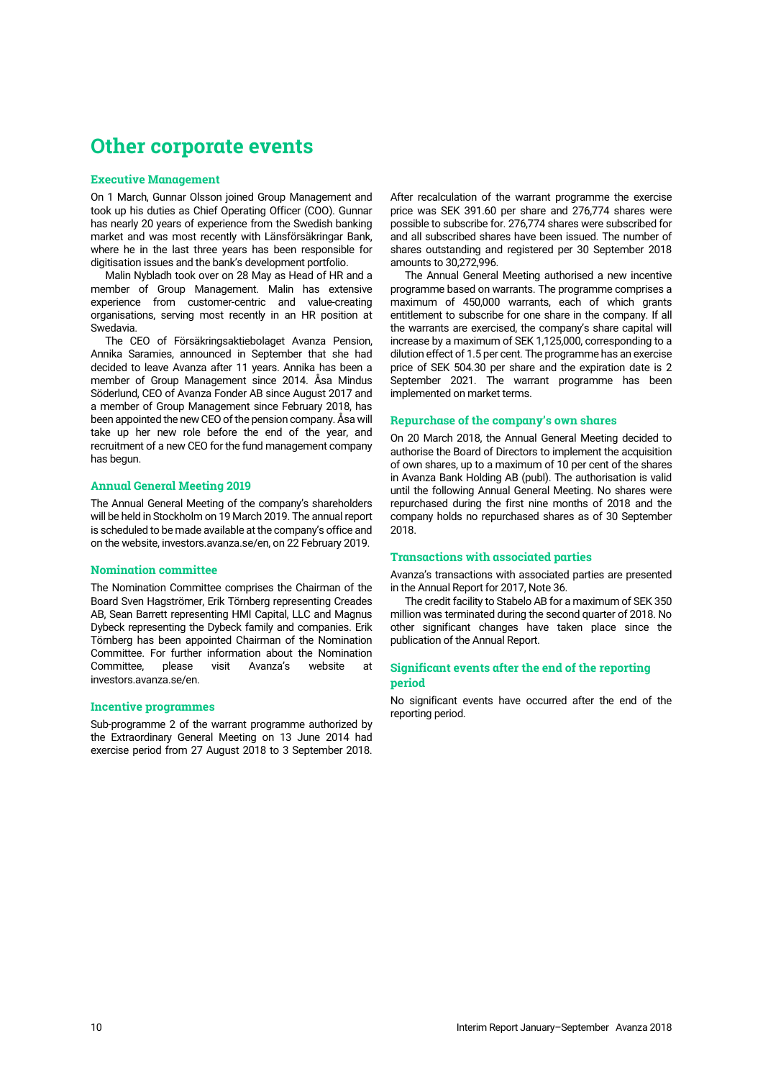# <span id="page-9-0"></span>**Other corporate events**

## **Executive Management**

On 1 March, Gunnar Olsson joined Group Management and took up his duties as Chief Operating Officer (COO). Gunnar has nearly 20 years of experience from the Swedish banking market and was most recently with Länsförsäkringar Bank, where he in the last three years has been responsible for digitisation issues and the bank's development portfolio.

Malin Nybladh took over on 28 May as Head of HR and a member of Group Management. Malin has extensive experience from customer-centric and value-creating organisations, serving most recently in an HR position at Swedavia.

The CEO of Försäkringsaktiebolaget Avanza Pension, Annika Saramies, announced in September that she had decided to leave Avanza after 11 years. Annika has been a member of Group Management since 2014. Åsa Mindus Söderlund, CEO of Avanza Fonder AB since August 2017 and a member of Group Management since February 2018, has been appointed the new CEO of the pension company. Åsa will take up her new role before the end of the year, and recruitment of a new CEO for the fund management company has begun.

## **Annual General Meeting 2019**

The Annual General Meeting of the company's shareholders will be held in Stockholm on 19 March 2019. The annual report is scheduled to be made available at the company's office and on the website, investors.avanza.se/en, on 22 February 2019.

## **Nomination committee**

The Nomination Committee comprises the Chairman of the Board Sven Hagströmer, Erik Törnberg representing Creades AB, Sean Barrett representing HMI Capital, LLC and Magnus Dybeck representing the Dybeck family and companies. Erik Törnberg has been appointed Chairman of the Nomination Committee. For further information about the Nomination Committee, please visit Avanza's website at [investors.avanza.se/en.](http://investors.avanza.se/en)

#### **Incentive programmes**

Sub-programme 2 of the warrant programme authorized by the Extraordinary General Meeting on 13 June 2014 had exercise period from 27 August 2018 to 3 September 2018.

After recalculation of the warrant programme the exercise price was SEK 391.60 per share and 276,774 shares were possible to subscribe for. 276,774 shares were subscribed for and all subscribed shares have been issued. The number of shares outstanding and registered per 30 September 2018 amounts to 30,272,996.

The Annual General Meeting authorised a new incentive programme based on warrants. The programme comprises a maximum of 450,000 warrants, each of which grants entitlement to subscribe for one share in the company. If all the warrants are exercised, the company's share capital will increase by a maximum of SEK 1,125,000, corresponding to a dilution effect of 1.5 per cent. The programme has an exercise price of SEK 504.30 per share and the expiration date is 2 September 2021. The warrant programme has been implemented on market terms.

## **Repurchase of the company's own shares**

On 20 March 2018, the Annual General Meeting decided to authorise the Board of Directors to implement the acquisition of own shares, up to a maximum of 10 per cent of the shares in Avanza Bank Holding AB (publ). The authorisation is valid until the following Annual General Meeting. No shares were repurchased during the first nine months of 2018 and the company holds no repurchased shares as of 30 September 2018.

## **Transactions with associated parties**

Avanza's transactions with associated parties are presented in the Annual Report for 2017, Note 36.

The credit facility to Stabelo AB for a maximum of SEK 350 million was terminated during the second quarter of 2018. No other significant changes have taken place since the publication of the Annual Report.

# **Significant events after the end of the reporting period**

No significant events have occurred after the end of the reporting period.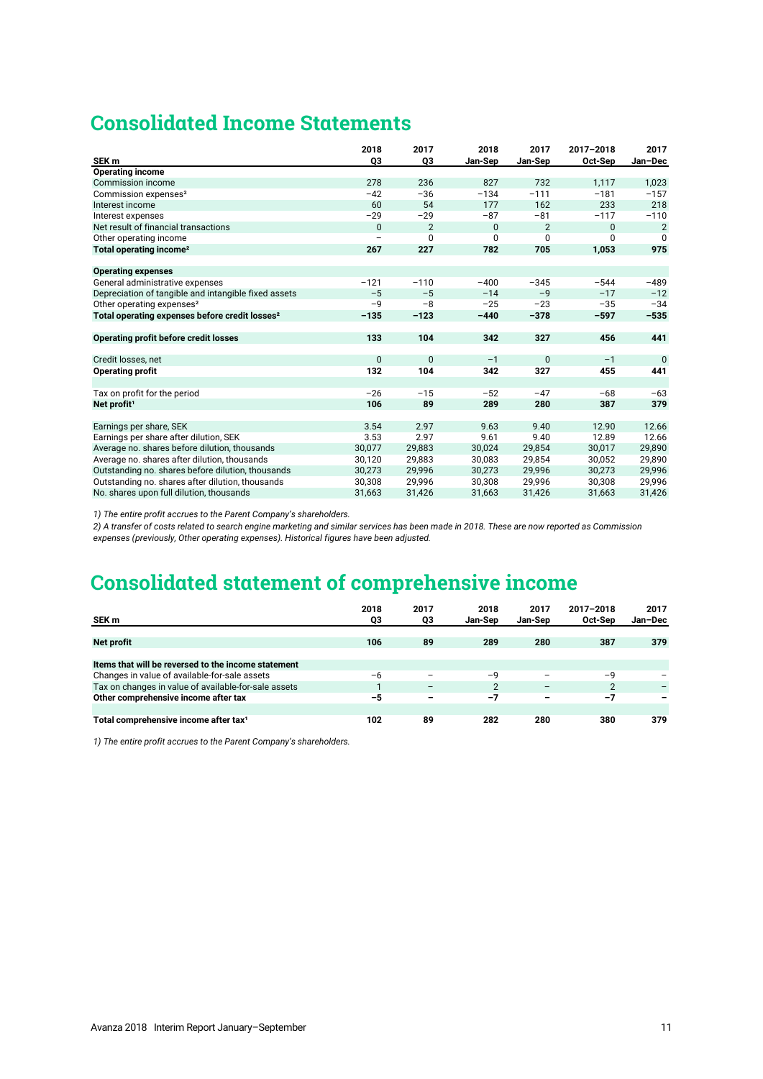# **Consolidated Income Statements**

|                                                            | 2018                     | 2017           | 2018         | 2017           | 2017-2018 | 2017           |
|------------------------------------------------------------|--------------------------|----------------|--------------|----------------|-----------|----------------|
| SEK <sub>m</sub>                                           | Q3                       | Q3             | Jan-Sep      | Jan-Sep        | Oct-Sep   | Jan-Dec        |
| <b>Operating income</b>                                    |                          |                |              |                |           |                |
| Commission income                                          | 278                      | 236            | 827          | 732            | 1.117     | 1,023          |
| Commission expenses <sup>2</sup>                           | $-42$                    | $-36$          | $-134$       | $-111$         | $-181$    | $-157$         |
| Interest income                                            | 60                       | 54             | 177          | 162            | 233       | 218            |
| Interest expenses                                          | $-29$                    | $-29$          | $-87$        | $-81$          | $-117$    | $-110$         |
| Net result of financial transactions                       | $\mathbf{0}$             | $\overline{2}$ | $\mathbf{0}$ | $\overline{2}$ | $\Omega$  | $\overline{2}$ |
| Other operating income                                     | $\overline{\phantom{0}}$ | 0              | $\mathbf 0$  | 0              | $\Omega$  | 0              |
| Total operating income <sup>2</sup>                        | 267                      | 227            | 782          | 705            | 1,053     | 975            |
|                                                            |                          |                |              |                |           |                |
| <b>Operating expenses</b>                                  |                          |                |              |                |           |                |
| General administrative expenses                            | $-121$                   | $-110$         | $-400$       | $-345$         | $-544$    | $-489$         |
| Depreciation of tangible and intangible fixed assets       | $-5$                     | $-5$           | $-14$        | $-9$           | $-17$     | $-12$          |
| Other operating expenses <sup>2</sup>                      | $-9$                     | $-8$           | $-25$        | $-23$          | $-35$     | $-34$          |
| Total operating expenses before credit losses <sup>2</sup> | $-135$                   | $-123$         | $-440$       | $-378$         | $-597$    | $-535$         |
|                                                            |                          |                |              |                |           |                |
| Operating profit before credit losses                      | 133                      | 104            | 342          | 327            | 456       | 441            |
|                                                            |                          |                |              |                |           |                |
| Credit losses, net                                         | $\mathbf 0$              | $\mathbf{0}$   | $-1$         | $\mathbf{0}$   | $-1$      | $\mathbf{0}$   |
| <b>Operating profit</b>                                    | 132                      | 104            | 342          | 327            | 455       | 441            |
|                                                            |                          |                |              |                |           |                |
| Tax on profit for the period                               | $-26$                    | $-15$          | $-52$        | $-47$          | $-68$     | $-63$          |
| Net profit <sup>1</sup>                                    | 106                      | 89             | 289          | 280            | 387       | 379            |
|                                                            |                          |                |              |                |           |                |
| Earnings per share, SEK                                    | 3.54                     | 2.97           | 9.63         | 9.40           | 12.90     | 12.66          |
| Earnings per share after dilution, SEK                     | 3.53                     | 2.97           | 9.61         | 9.40           | 12.89     | 12.66          |
| Average no. shares before dilution, thousands              | 30,077                   | 29,883         | 30,024       | 29,854         | 30,017    | 29,890         |
| Average no. shares after dilution, thousands               | 30,120                   | 29,883         | 30,083       | 29,854         | 30,052    | 29,890         |
| Outstanding no. shares before dilution, thousands          | 30,273                   | 29,996         | 30,273       | 29,996         | 30,273    | 29,996         |
| Outstanding no. shares after dilution, thousands           | 30,308                   | 29,996         | 30,308       | 29,996         | 30,308    | 29,996         |
| No. shares upon full dilution, thousands                   | 31,663                   | 31,426         | 31,663       | 31,426         | 31,663    | 31,426         |

*1) The entire profit accrues to the Parent Company's shareholders.*

*2) A transfer of costs related to search engine marketing and similar services has been made in 2018. These are now reported as Commission expenses (previously, Other operating expenses). Historical figures have been adjusted.* 

# **Consolidated statement of comprehensive income**

|                                                      | 2018 | 2017                     | 2018           | 2017                     | 2017-2018 | 2017    |
|------------------------------------------------------|------|--------------------------|----------------|--------------------------|-----------|---------|
| SEK m                                                | Q3   | QЗ                       | <b>Jan-Sep</b> | Jan-Sep                  | Oct-Sep   | Jan-Dec |
|                                                      |      |                          |                |                          |           |         |
| Net profit                                           | 106  | 89                       | 289            | 280                      | 387       | 379     |
|                                                      |      |                          |                |                          |           |         |
| Items that will be reversed to the income statement  |      |                          |                |                          |           |         |
| Changes in value of available-for-sale assets        | -6   | $\overline{\phantom{0}}$ | $-\mathsf{Q}$  | -                        | $-9$      |         |
| Tax on changes in value of available-for-sale assets |      | $\overline{\phantom{m}}$ | $\overline{2}$ | $\overline{\phantom{m}}$ | 2         |         |
| Other comprehensive income after tax                 | $-5$ | -                        | $-7$           | -                        | $-7$      | -       |
|                                                      |      |                          |                |                          |           |         |
| Total comprehensive income after tax <sup>1</sup>    | 102  | 89                       | 282            | 280                      | 380       | 379     |

*1) The entire profit accrues to the Parent Company's shareholders.*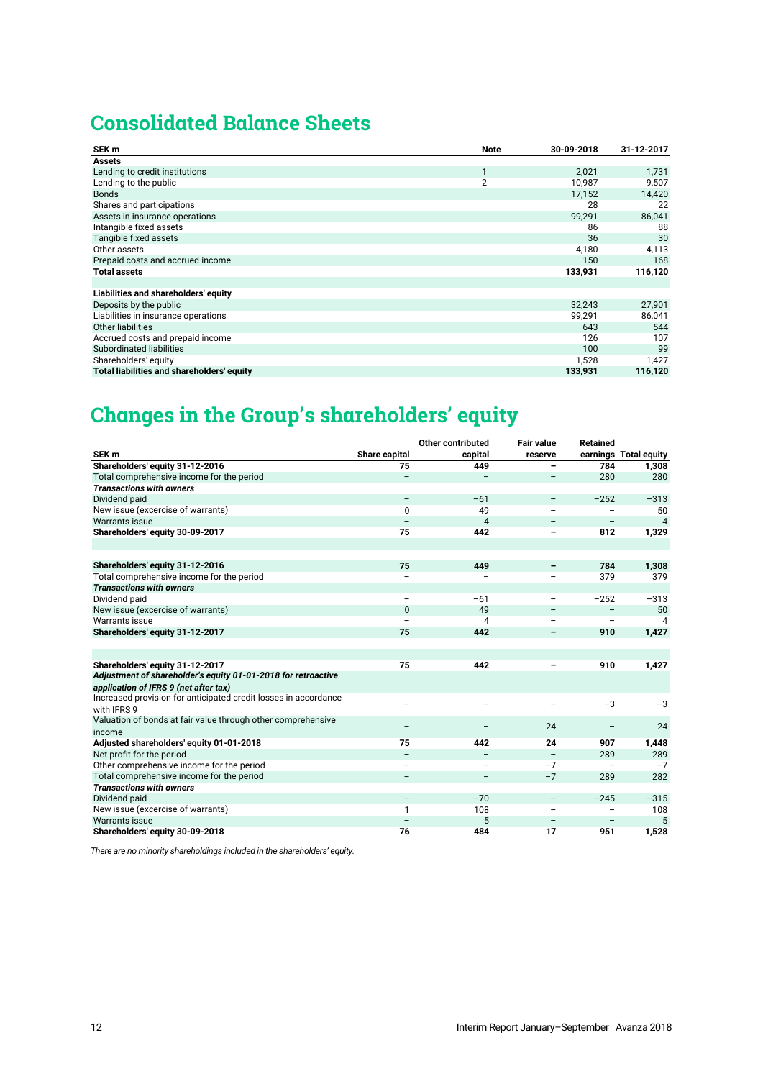# **Consolidated Balance Sheets**

| SEK <sub>m</sub>                           | Note           | 30-09-2018 | 31-12-2017 |
|--------------------------------------------|----------------|------------|------------|
| <b>Assets</b>                              |                |            |            |
| Lending to credit institutions             | 1              | 2.021      | 1,731      |
| Lending to the public                      | $\overline{2}$ | 10,987     | 9,507      |
| <b>Bonds</b>                               |                | 17,152     | 14,420     |
| Shares and participations                  |                | 28         | 22         |
| Assets in insurance operations             |                | 99,291     | 86,041     |
| Intangible fixed assets                    |                | 86         | 88         |
| Tangible fixed assets                      |                | 36         | 30         |
| Other assets                               |                | 4,180      | 4,113      |
| Prepaid costs and accrued income           |                | 150        | 168        |
| <b>Total assets</b>                        |                | 133,931    | 116,120    |
|                                            |                |            |            |
| Liabilities and shareholders' equity       |                |            |            |
| Deposits by the public                     |                | 32,243     | 27,901     |
| Liabilities in insurance operations        |                | 99,291     | 86,041     |
| <b>Other liabilities</b>                   |                | 643        | 544        |
| Accrued costs and prepaid income           |                | 126        | 107        |
| Subordinated liabilities                   |                | 100        | 99         |
| Shareholders' equity                       |                | 1,528      | 1,427      |
| Total liabilities and shareholders' equity |                | 133,931    | 116,120    |

# **Changes in the Group's shareholders' equity**

|                                                                 |                          | Other contributed        | <b>Fair value</b>        | <b>Retained</b>          |                       |
|-----------------------------------------------------------------|--------------------------|--------------------------|--------------------------|--------------------------|-----------------------|
| SEK <sub>m</sub>                                                | Share capital            | capital                  | reserve                  |                          | earnings Total equity |
| Shareholders' equity 31-12-2016                                 | 75                       | 449                      | -                        | 784                      | 1,308                 |
| Total comprehensive income for the period                       | $\qquad \qquad -$        | $\overline{\phantom{0}}$ | $\overline{\phantom{a}}$ | 280                      | 280                   |
| <b>Transactions with owners</b>                                 |                          |                          |                          |                          |                       |
| Dividend paid                                                   | $\overline{\phantom{m}}$ | $-61$                    | $\overline{\phantom{m}}$ | $-252$                   | $-313$                |
| New issue (excercise of warrants)                               | 0                        | 49                       |                          |                          | 50                    |
| <b>Warrants issue</b>                                           |                          | 4                        |                          | $\overline{\phantom{0}}$ | $\overline{4}$        |
| Shareholders' equity 30-09-2017                                 | 75                       | 442                      |                          | 812                      | 1,329                 |
|                                                                 |                          |                          |                          |                          |                       |
|                                                                 |                          |                          |                          |                          |                       |
| Shareholders' equity 31-12-2016                                 | 75                       | 449                      |                          | 784                      | 1,308                 |
| Total comprehensive income for the period                       |                          |                          |                          | 379                      | 379                   |
| <b>Transactions with owners</b>                                 |                          |                          |                          |                          |                       |
| Dividend paid                                                   |                          | $-61$                    | $\overline{\phantom{m}}$ | $-252$                   | $-313$                |
| New issue (excercise of warrants)                               | $\Omega$                 | 49                       |                          | $\qquad \qquad -$        | 50                    |
| Warrants issue                                                  |                          | 4                        |                          |                          | 4                     |
| Shareholders' equity 31-12-2017                                 | 75                       | 442                      | -                        | 910                      | 1,427                 |
|                                                                 |                          |                          |                          |                          |                       |
|                                                                 |                          |                          |                          |                          |                       |
| Shareholders' equity 31-12-2017                                 | 75                       | 442                      |                          | 910                      | 1,427                 |
| Adjustment of shareholder's equity 01-01-2018 for retroactive   |                          |                          |                          |                          |                       |
| application of IFRS 9 (net after tax)                           |                          |                          |                          |                          |                       |
| Increased provision for anticipated credit losses in accordance |                          |                          |                          | $-3$                     | $-3$                  |
| with IFRS 9                                                     |                          |                          |                          |                          |                       |
| Valuation of bonds at fair value through other comprehensive    |                          |                          | 24                       |                          | 24                    |
| income                                                          |                          |                          |                          |                          |                       |
| Adjusted shareholders' equity 01-01-2018                        | 75                       | 442                      | 24                       | 907                      | 1,448                 |
| Net profit for the period                                       |                          |                          |                          | 289                      | 289                   |
| Other comprehensive income for the period                       |                          | -                        | $-7$                     |                          | $-7$                  |
| Total comprehensive income for the period                       |                          | -                        | $-7$                     | 289                      | 282                   |
| <b>Transactions with owners</b>                                 |                          |                          |                          |                          |                       |
| Dividend paid                                                   | $\overline{\phantom{m}}$ | $-70$                    | $\overline{\phantom{m}}$ | $-245$                   | $-315$                |
| New issue (excercise of warrants)                               | 1                        | 108                      |                          |                          | 108                   |
| <b>Warrants issue</b>                                           |                          | 5                        |                          |                          | 5                     |
| Shareholders' equity 30-09-2018                                 | 76                       | 484                      | 17                       | 951                      | 1,528                 |

*There are no minority shareholdings included in the shareholders' equity.*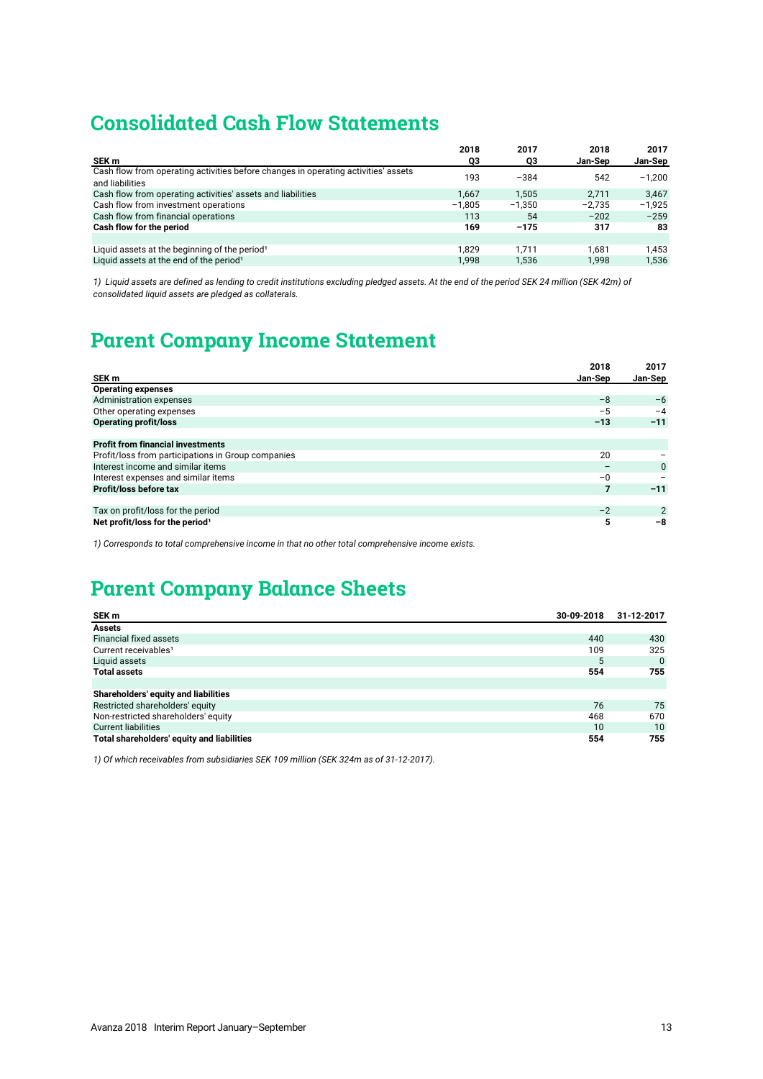# **Consolidated Cash Flow Statements**

|                                                                                                       | 2018     | 2017     | 2018     | 2017     |
|-------------------------------------------------------------------------------------------------------|----------|----------|----------|----------|
| SEK m                                                                                                 | QЗ       | QЗ       | Jan-Sep  | Jan-Sep  |
| Cash flow from operating activities before changes in operating activities' assets<br>and liabilities | 193      | $-384$   | 542      | $-1.200$ |
| Cash flow from operating activities' assets and liabilities                                           | 1.667    | 1.505    | 2.711    | 3.467    |
| Cash flow from investment operations                                                                  | $-1.805$ | $-1.350$ | $-2.735$ | $-1.925$ |
| Cash flow from financial operations                                                                   | 113      | 54       | $-202$   | $-259$   |
| Cash flow for the period                                                                              | 169      | $-175$   | 317      | 83       |
|                                                                                                       |          |          |          |          |
| Liquid assets at the beginning of the period <sup>1</sup>                                             | 1.829    | 1.711    | 1.681    | 1.453    |
| Liquid assets at the end of the period <sup>1</sup>                                                   | 1.998    | 1.536    | 1.998    | 1.536    |

*1) Liquid assets are defined as lending to credit institutions excluding pledged assets. At the end of the period SEK 24 million (SEK 42m) of consolidated liquid assets are pledged as collaterals.*

# **Parent Company Income Statement**

|                                                    | 2018    | 2017           |
|----------------------------------------------------|---------|----------------|
| SEK m                                              | Jan-Sep | Jan-Sep        |
| <b>Operating expenses</b>                          |         |                |
| Administration expenses                            | $-8$    | $-6$           |
| Other operating expenses                           | $-5$    | $-4$           |
| <b>Operating profit/loss</b>                       | $-13$   | $-11$          |
|                                                    |         |                |
| <b>Profit from financial investments</b>           |         |                |
| Profit/loss from participations in Group companies | 20      |                |
| Interest income and similar items                  |         | $\Omega$       |
| Interest expenses and similar items                | $-0$    |                |
| Profit/loss before tax                             |         | $-11$          |
|                                                    |         |                |
| Tax on profit/loss for the period                  | $-2$    | $\overline{2}$ |
| Net profit/loss for the period <sup>1</sup>        | 5       | -8             |

*1) Corresponds to total comprehensive income in that no other total comprehensive income exists.*

# **Parent Company Balance Sheets**

| SEK m                                      | 30-09-2018 | 31-12-2017 |
|--------------------------------------------|------------|------------|
| <b>Assets</b>                              |            |            |
| Financial fixed assets                     | 440        | 430        |
| Current receivables <sup>1</sup>           | 109        | 325        |
| Liquid assets                              | 5          | $\Omega$   |
| <b>Total assets</b>                        | 554        | 755        |
|                                            |            |            |
| Shareholders' equity and liabilities       |            |            |
| Restricted shareholders' equity            | 76         | 75         |
| Non-restricted shareholders' equity        | 468        | 670        |
| <b>Current liabilities</b>                 | 10         | 10         |
| Total shareholders' equity and liabilities | 554        | 755        |

*1) Of which receivables from subsidiaries SEK 109 million (SEK 324m as of 31-12-2017).*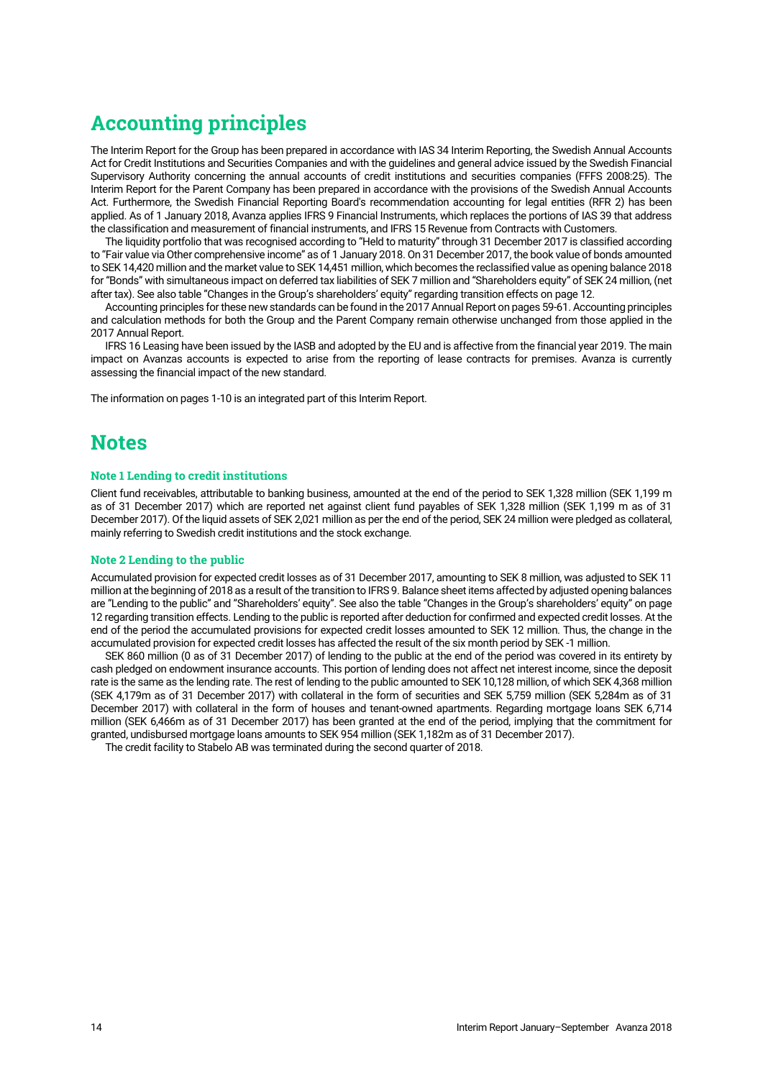# **Accounting principles**

The Interim Report for the Group has been prepared in accordance with IAS 34 Interim Reporting, the Swedish Annual Accounts Act for Credit Institutions and Securities Companies and with the guidelines and general advice issued by the Swedish Financial Supervisory Authority concerning the annual accounts of credit institutions and securities companies (FFFS 2008:25). The Interim Report for the Parent Company has been prepared in accordance with the provisions of the Swedish Annual Accounts Act. Furthermore, the Swedish Financial Reporting Board's recommendation accounting for legal entities (RFR 2) has been applied. As of 1 January 2018, Avanza applies IFRS 9 Financial Instruments, which replaces the portions of IAS 39 that address the classification and measurement of financial instruments, and IFRS 15 Revenue from Contracts with Customers.

The liquidity portfolio that was recognised according to "Held to maturity" through 31 December 2017 is classified according to "Fair value via Other comprehensive income" as of 1 January 2018. On 31 December 2017, the book value of bonds amounted to SEK 14,420 million and the market value to SEK 14,451 million, which becomes the reclassified value as opening balance 2018 for "Bonds" with simultaneous impact on deferred tax liabilities of SEK 7 million and "Shareholders equity" of SEK 24 million, (net after tax). See also table "Changes in the Group's shareholders' equity" regarding transition effects on page 12.

Accounting principles for these new standards can be found in the 2017 Annual Report on pages 59-61. Accounting principles and calculation methods for both the Group and the Parent Company remain otherwise unchanged from those applied in the 2017 Annual Report.

IFRS 16 Leasing have been issued by the IASB and adopted by the EU and is affective from the financial year 2019. The main impact on Avanzas accounts is expected to arise from the reporting of lease contracts for premises. Avanza is currently assessing the financial impact of the new standard.

The information on pages [1-10](#page-9-0) is an integrated part of this Interim Report.

# **Notes**

# **Note 1 Lending to credit institutions**

Client fund receivables, attributable to banking business, amounted at the end of the period to SEK 1,328 million (SEK 1,199 m as of 31 December 2017) which are reported net against client fund payables of SEK 1,328 million (SEK 1,199 m as of 31 December 2017). Of the liquid assets of SEK 2,021 million as per the end of the period, SEK 24 million were pledged as collateral, mainly referring to Swedish credit institutions and the stock exchange.

## **Note 2 Lending to the public**

Accumulated provision for expected credit losses as of 31 December 2017, amounting to SEK 8 million, was adjusted to SEK 11 million at the beginning of 2018 as a result of the transition to IFRS 9. Balance sheet items affected by adjusted opening balances are "Lending to the public" and "Shareholders' equity". See also the table "Changes in the Group's shareholders' equity" on page 12 regarding transition effects. Lending to the public is reported after deduction for confirmed and expected credit losses. At the end of the period the accumulated provisions for expected credit losses amounted to SEK 12 million. Thus, the change in the accumulated provision for expected credit losses has affected the result of the six month period by SEK -1 million.

SEK 860 million (0 as of 31 December 2017) of lending to the public at the end of the period was covered in its entirety by cash pledged on endowment insurance accounts. This portion of lending does not affect net interest income, since the deposit rate is the same as the lending rate. The rest of lending to the public amounted to SEK 10,128 million, of which SEK 4,368 million (SEK 4,179m as of 31 December 2017) with collateral in the form of securities and SEK 5,759 million (SEK 5,284m as of 31 December 2017) with collateral in the form of houses and tenant-owned apartments. Regarding mortgage loans SEK 6,714 million (SEK 6,466m as of 31 December 2017) has been granted at the end of the period, implying that the commitment for granted, undisbursed mortgage loans amounts to SEK 954 million (SEK 1,182m as of 31 December 2017).

The credit facility to Stabelo AB was terminated during the second quarter of 2018.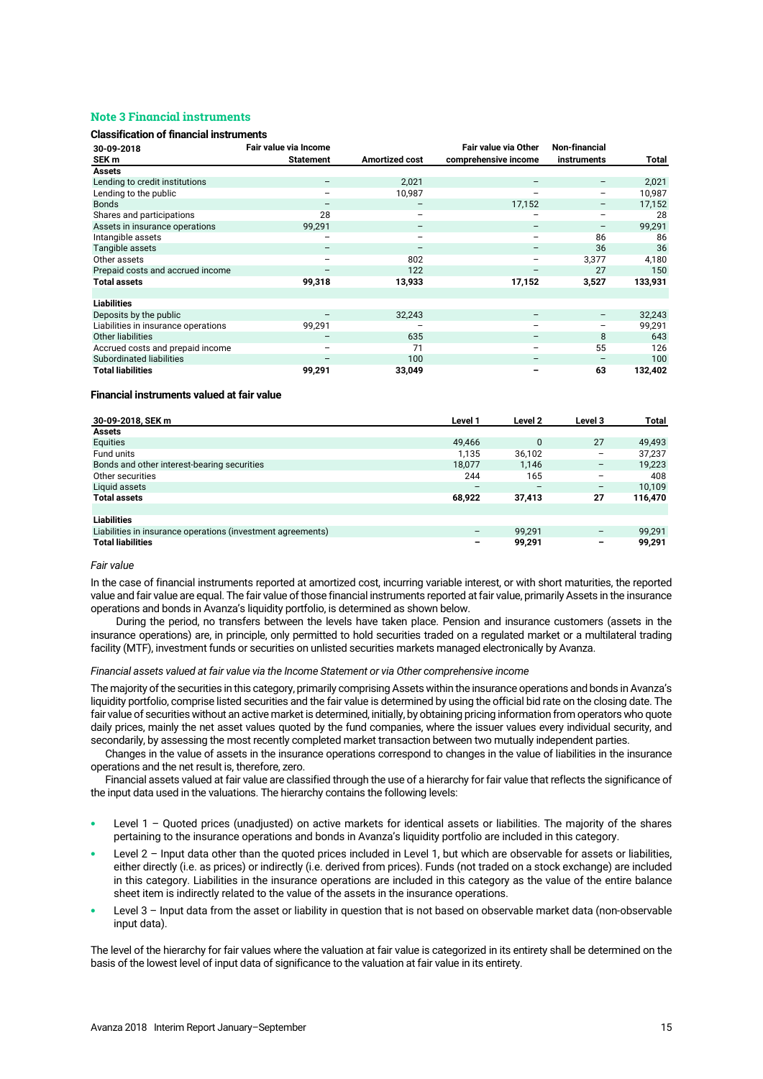# **Note 3 Financial instruments**

# **Classification of financial instruments**

| 30-09-2018                          | Fair value via Income    |                          | Fair value via Other     | Non-financial                |         |
|-------------------------------------|--------------------------|--------------------------|--------------------------|------------------------------|---------|
| SEK m                               | <b>Statement</b>         | <b>Amortized cost</b>    | comprehensive income     | instruments                  | Total   |
| <b>Assets</b>                       |                          |                          |                          |                              |         |
| Lending to credit institutions      | $\overline{\phantom{m}}$ | 2,021                    | $\qquad \qquad$          | -                            | 2,021   |
| Lending to the public               | $\overline{\phantom{0}}$ | 10,987                   |                          | $\qquad \qquad \blacksquare$ | 10,987  |
| <b>Bonds</b>                        |                          | $\overline{\phantom{m}}$ | 17,152                   |                              | 17,152  |
| Shares and participations           | 28                       | $\overline{\phantom{m}}$ |                          | $\overline{\phantom{0}}$     | 28      |
| Assets in insurance operations      | 99,291                   | $\overline{\phantom{m}}$ | $\overline{\phantom{m}}$ | $\qquad \qquad -$            | 99,291  |
| Intangible assets                   | $\overline{\phantom{m}}$ | $\overline{\phantom{m}}$ | $\overline{\phantom{m}}$ | 86                           | 86      |
| Tangible assets                     | $\overline{\phantom{m}}$ | $\overline{\phantom{m}}$ | $\overline{\phantom{m}}$ | 36                           | 36      |
| Other assets                        | $\overline{\phantom{0}}$ | 802                      | $\overline{\phantom{m}}$ | 3,377                        | 4,180   |
| Prepaid costs and accrued income    | $\overline{\phantom{m}}$ | 122                      | $\overline{\phantom{m}}$ | 27                           | 150     |
| <b>Total assets</b>                 | 99,318                   | 13,933                   | 17,152                   | 3,527                        | 133,931 |
|                                     |                          |                          |                          |                              |         |
| <b>Liabilities</b>                  |                          |                          |                          |                              |         |
| Deposits by the public              |                          | 32,243                   |                          | -                            | 32,243  |
| Liabilities in insurance operations | 99,291                   | -                        | $\overline{\phantom{a}}$ | $\qquad \qquad \blacksquare$ | 99,291  |
| Other liabilities                   | $\overline{\phantom{m}}$ | 635                      | $\overline{\phantom{m}}$ | 8                            | 643     |
| Accrued costs and prepaid income    | $\overline{\phantom{0}}$ | 71                       | $\overline{\phantom{m}}$ | 55                           | 126     |
| Subordinated liabilities            | $\overline{\phantom{m}}$ | 100                      | $\overline{\phantom{m}}$ | $\overline{\phantom{m}}$     | 100     |
| <b>Total liabilities</b>            | 99,291                   | 33,049                   | -                        | 63                           | 132,402 |

## **Financial instruments valued at fair value**

| 30-09-2018, SEK m                                           | Level 1 | Level 2  | Level 3 | <b>Total</b> |
|-------------------------------------------------------------|---------|----------|---------|--------------|
| <b>Assets</b>                                               |         |          |         |              |
| Equities                                                    | 49,466  | $\Omega$ | 27      | 49,493       |
| Fund units                                                  | 1.135   | 36,102   | -       | 37.237       |
| Bonds and other interest-bearing securities                 | 18.077  | 1.146    |         | 19,223       |
| Other securities                                            | 244     | 165      |         | 408          |
| Liquid assets                                               |         |          |         | 10,109       |
| <b>Total assets</b>                                         | 68,922  | 37,413   | 27      | 116,470      |
|                                                             |         |          |         |              |
| <b>Liabilities</b>                                          |         |          |         |              |
| Liabilities in insurance operations (investment agreements) |         | 99.291   |         | 99.291       |
| <b>Total liabilities</b>                                    | -       | 99,291   | -       | 99,291       |

## *Fair value*

In the case of financial instruments reported at amortized cost, incurring variable interest, or with short maturities, the reported value and fair value are equal. The fair value of those financial instruments reported at fair value, primarily Assets in the insurance operations and bonds in Avanza's liquidity portfolio, is determined as shown below.

During the period, no transfers between the levels have taken place. Pension and insurance customers (assets in the insurance operations) are, in principle, only permitted to hold securities traded on a regulated market or a multilateral trading facility (MTF), investment funds or securities on unlisted securities markets managed electronically by Avanza.

## *Financial assets valued at fair value via the Income Statement or via Other comprehensive income*

The majority of the securities in this category, primarily comprising Assets within the insurance operations and bonds in Avanza's liquidity portfolio, comprise listed securities and the fair value is determined by using the official bid rate on the closing date. The fair value of securities without an active market is determined, initially, by obtaining pricing information from operators who quote daily prices, mainly the net asset values quoted by the fund companies, where the issuer values every individual security, and secondarily, by assessing the most recently completed market transaction between two mutually independent parties.

Changes in the value of assets in the insurance operations correspond to changes in the value of liabilities in the insurance operations and the net result is, therefore, zero.

Financial assets valued at fair value are classified through the use of a hierarchy for fair value that reflects the significance of the input data used in the valuations. The hierarchy contains the following levels:

- Level 1 Quoted prices (unadjusted) on active markets for identical assets or liabilities. The majority of the shares pertaining to the insurance operations and bonds in Avanza's liquidity portfolio are included in this category.
- Level 2 Input data other than the quoted prices included in Level 1, but which are observable for assets or liabilities, either directly (i.e. as prices) or indirectly (i.e. derived from prices). Funds (not traded on a stock exchange) are included in this category. Liabilities in the insurance operations are included in this category as the value of the entire balance sheet item is indirectly related to the value of the assets in the insurance operations.
- Level 3 Input data from the asset or liability in question that is not based on observable market data (non-observable input data).

The level of the hierarchy for fair values where the valuation at fair value is categorized in its entirety shall be determined on the basis of the lowest level of input data of significance to the valuation at fair value in its entirety.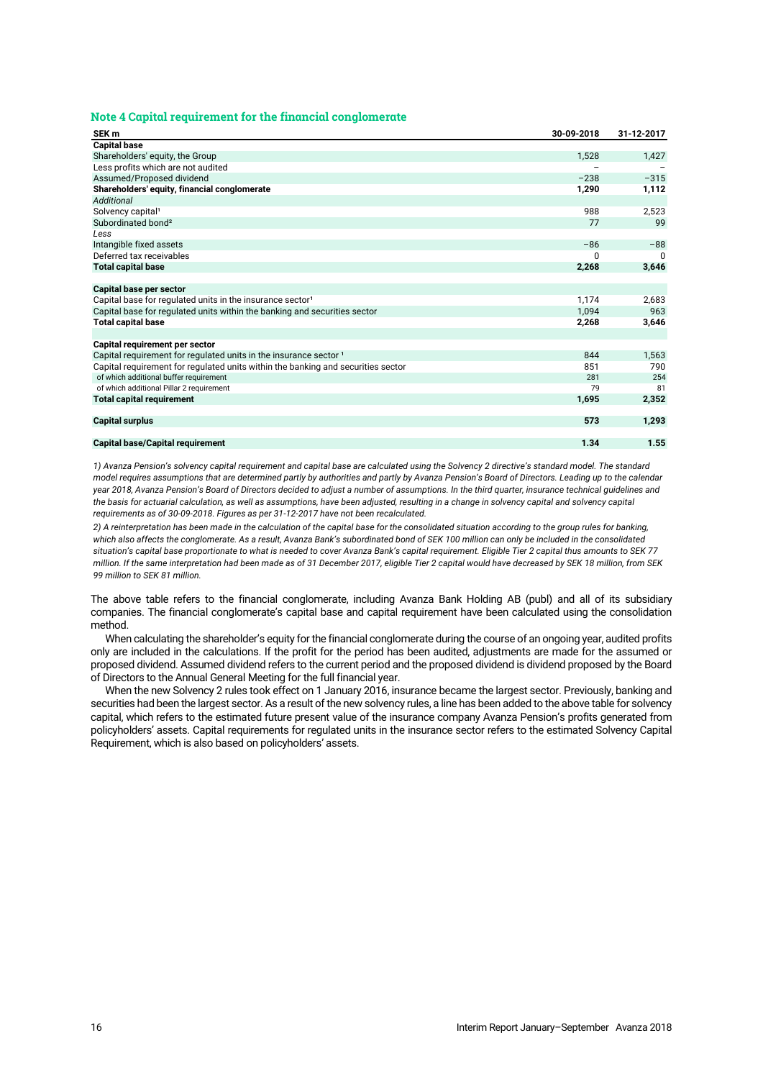## **Note 4 Capital requirement for the financial conglomerate**

| SEK <sub>m</sub>                                                                 | 30-09-2018 | 31-12-2017   |
|----------------------------------------------------------------------------------|------------|--------------|
| <b>Capital base</b>                                                              |            |              |
| Shareholders' equity, the Group                                                  | 1,528      | 1,427        |
| Less profits which are not audited                                               |            |              |
| Assumed/Proposed dividend                                                        | $-238$     | $-315$       |
| Shareholders' equity, financial conglomerate                                     | 1,290      | 1,112        |
| Additional                                                                       |            |              |
| Solvency capital <sup>1</sup>                                                    | 988        | 2,523        |
| Subordinated bond <sup>2</sup>                                                   | 77         | 99           |
| Less                                                                             |            |              |
| Intangible fixed assets                                                          | $-86$      | $-88$        |
| Deferred tax receivables                                                         | 0          | <sup>0</sup> |
| <b>Total capital base</b>                                                        | 2,268      | 3,646        |
|                                                                                  |            |              |
| Capital base per sector                                                          |            |              |
| Capital base for regulated units in the insurance sector <sup>1</sup>            | 1,174      | 2,683        |
| Capital base for regulated units within the banking and securities sector        | 1,094      | 963          |
| <b>Total capital base</b>                                                        | 2,268      | 3,646        |
|                                                                                  |            |              |
| Capital requirement per sector                                                   |            |              |
| Capital requirement for regulated units in the insurance sector <sup>1</sup>     | 844        | 1,563        |
| Capital requirement for regulated units within the banking and securities sector | 851        | 790          |
| of which additional buffer requirement                                           | 281        | 254          |
| of which additional Pillar 2 requirement                                         | 79         | 81           |
| <b>Total capital requirement</b>                                                 | 1,695      | 2,352        |
|                                                                                  |            |              |
| <b>Capital surplus</b>                                                           | 573        | 1,293        |
|                                                                                  |            |              |
| <b>Capital base/Capital requirement</b>                                          | 1.34       | 1.55         |

*1) Avanza Pension's solvency capital requirement and capital base are calculated using the Solvency 2 directive's standard model. The standard model requires assumptions that are determined partly by authorities and partly by Avanza Pension's Board of Directors. Leading up to the calendar year 2018, Avanza Pension's Board of Directors decided to adjust a number of assumptions. In the third quarter, insurance technical guidelines and*  the basis for actuarial calculation, as well as assumptions, have been adjusted, resulting in a change in solvency capital and solvency capital *requirements as of 30-09-2018. Figures as per 31-12-2017 have not been recalculated.*

*2) A reinterpretation has been made in the calculation of the capital base for the consolidated situation according to the group rules for banking,*  which also affects the conglomerate. As a result, Avanza Bank's subordinated bond of SEK 100 million can only be included in the consolidated *situation's capital base proportionate to what is needed to cover Avanza Bank's capital requirement. Eligible Tier 2 capital thus amounts to SEK 77 million. If the same interpretation had been made as of 31 December 2017, eligible Tier 2 capital would have decreased by SEK 18 million, from SEK 99 million to SEK 81 million.*

The above table refers to the financial conglomerate, including Avanza Bank Holding AB (publ) and all of its subsidiary companies. The financial conglomerate's capital base and capital requirement have been calculated using the consolidation method.

When calculating the shareholder's equity for the financial conglomerate during the course of an ongoing year, audited profits only are included in the calculations. If the profit for the period has been audited, adjustments are made for the assumed or proposed dividend. Assumed dividend refers to the current period and the proposed dividend is dividend proposed by the Board of Directors to the Annual General Meeting for the full financial year.

When the new Solvency 2 rules took effect on 1 January 2016, insurance became the largest sector. Previously, banking and securities had been the largest sector. As a result of the new solvency rules, a line has been added to the above table for solvency capital, which refers to the estimated future present value of the insurance company Avanza Pension's profits generated from policyholders' assets. Capital requirements for regulated units in the insurance sector refers to the estimated Solvency Capital Requirement, which is also based on policyholders' assets.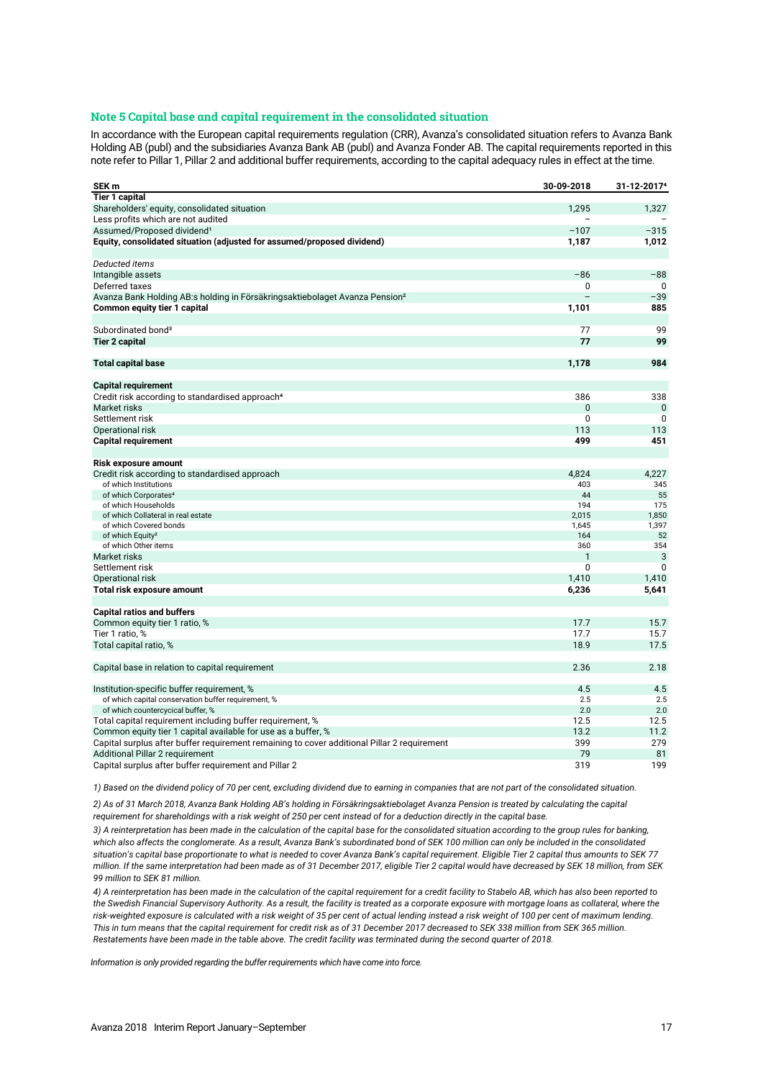# **Note 5 Capital base and capital requirement in the consolidated situation**

In accordance with the European capital requirements regulation (CRR), Avanza's consolidated situation refers to Avanza Bank Holding AB (publ) and the subsidiaries Avanza Bank AB (publ) and Avanza Fonder AB. The capital requirements reported in this note refer to Pillar 1, Pillar 2 and additional buffer requirements, according to the capital adequacy rules in effect at the time.

| SEK <sub>m</sub>                                                                            | 30-09-2018           | 31-12-2017 <sup>4</sup> |
|---------------------------------------------------------------------------------------------|----------------------|-------------------------|
| <b>Tier 1 capital</b>                                                                       |                      |                         |
| Shareholders' equity, consolidated situation                                                | 1,295                | 1,327                   |
| Less profits which are not audited                                                          |                      |                         |
| Assumed/Proposed dividend <sup>1</sup>                                                      | $-107$               | $-315$                  |
| Equity, consolidated situation (adjusted for assumed/proposed dividend)                     | 1,187                | 1,012                   |
| Deducted items                                                                              |                      |                         |
| Intangible assets                                                                           | $-86$                | $-88$                   |
| Deferred taxes                                                                              | 0                    | 0                       |
| Avanza Bank Holding AB:s holding in Försäkringsaktiebolaget Avanza Pension <sup>2</sup>     |                      | $-39$                   |
| Common equity tier 1 capital                                                                | 1,101                | 885                     |
| Subordinated bond <sup>3</sup>                                                              | 77                   | 99                      |
| <b>Tier 2 capital</b>                                                                       | 77                   | 99                      |
|                                                                                             |                      |                         |
| <b>Total capital base</b>                                                                   | 1,178                | 984                     |
|                                                                                             |                      |                         |
| <b>Capital requirement</b>                                                                  |                      |                         |
| Credit risk according to standardised approach <sup>4</sup>                                 | 386                  | 338                     |
| Market risks                                                                                | $\Omega$<br>$\Omega$ | $\Omega$                |
| Settlement risk                                                                             | 113                  | $\mathbf{0}$<br>113     |
| Operational risk                                                                            |                      |                         |
| <b>Capital requirement</b>                                                                  | 499                  | 451                     |
| <b>Risk exposure amount</b>                                                                 |                      |                         |
| Credit risk according to standardised approach                                              | 4,824                | 4,227                   |
| of which Institutions                                                                       | 403                  | 345                     |
| of which Corporates <sup>4</sup>                                                            | 44                   | 55                      |
| of which Households                                                                         | 194                  | 175                     |
| of which Collateral in real estate                                                          | 2.015                | 1,850                   |
| of which Covered bonds<br>of which Equity <sup>2</sup>                                      | 1,645<br>164         | 1,397<br>52             |
| of which Other items                                                                        | 360                  | 354                     |
| Market risks                                                                                | 1                    | 3                       |
| Settlement risk                                                                             | 0                    | $\mathbf{0}$            |
| Operational risk                                                                            | 1.410                | 1,410                   |
| Total risk exposure amount                                                                  | 6,236                | 5,641                   |
|                                                                                             |                      |                         |
| <b>Capital ratios and buffers</b>                                                           |                      |                         |
| Common equity tier 1 ratio, %                                                               | 17.7                 | 15.7                    |
| Tier 1 ratio, %                                                                             | 17.7                 | 15.7                    |
| Total capital ratio, %                                                                      | 18.9                 | 17.5                    |
| Capital base in relation to capital requirement                                             | 2.36                 | 2.18                    |
| Institution-specific buffer requirement, %                                                  | 4.5                  | 4.5                     |
| of which capital conservation buffer requirement, %                                         | 2.5                  | 2.5                     |
| of which countercycical buffer, %                                                           | 2.0                  | 2.0                     |
| Total capital requirement including buffer requirement, %                                   | 12.5                 | 12.5                    |
| Common equity tier 1 capital available for use as a buffer, %                               | 13.2                 | 11.2                    |
| Capital surplus after buffer requirement remaining to cover additional Pillar 2 requirement | 399                  | 279                     |
| Additional Pillar 2 requirement                                                             | 79                   | 81                      |
| Capital surplus after buffer requirement and Pillar 2                                       | 319                  | 199                     |

*1) Based on the dividend policy of 70 per cent, excluding dividend due to earning in companies that are not part of the consolidated situation.*

*2) As of 31 March 2018, Avanza Bank Holding AB's holding in Försäkringsaktiebolaget Avanza Pension is treated by calculating the capital requirement for shareholdings with a risk weight of 250 per cent instead of for a deduction directly in the capital base.*

*3) A reinterpretation has been made in the calculation of the capital base for the consolidated situation according to the group rules for banking,*  which also affects the conglomerate. As a result, Avanza Bank's subordinated bond of SEK 100 million can only be included in the consolidated *situation's capital base proportionate to what is needed to cover Avanza Bank's capital requirement. Eligible Tier 2 capital thus amounts to SEK 77 million. If the same interpretation had been made as of 31 December 2017, eligible Tier 2 capital would have decreased by SEK 18 million, from SEK 99 million to SEK 81 million.*

*4) A reinterpretation has been made in the calculation of the capital requirement for a credit facility to Stabelo AB, which has also been reported to the Swedish Financial Supervisory Authority. As a result, the facility is treated as a corporate exposure with mortgage loans as collateral, where the risk-weighted exposure is calculated with a risk weight of 35 per cent of actual lending instead a risk weight of 100 per cent of maximum lending.*  This in turn means that the capital requirement for credit risk as of 31 December 2017 decreased to SEK 338 million from SEK 365 million. *Restatements have been made in the table above. The credit facility was terminated during the second quarter of 2018.*

*Information is only provided regarding the buffer requirements which have come into force.*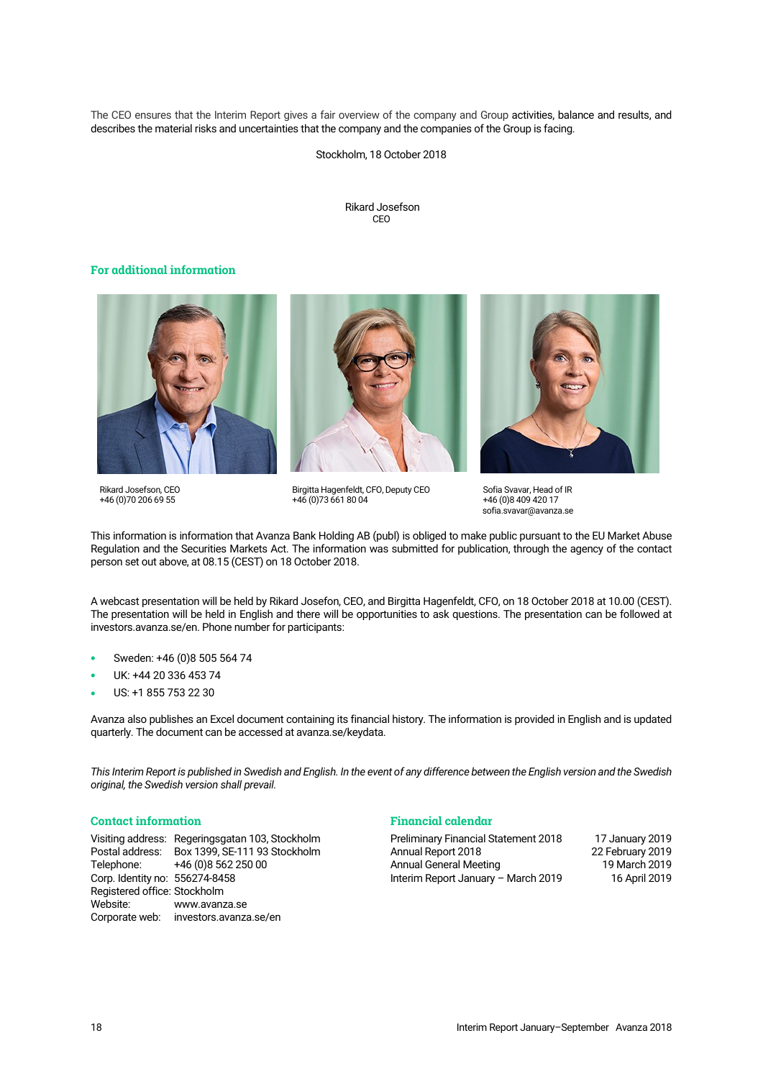The CEO ensures that the Interim Report gives a fair overview of the company and Group activities, balance and results, and describes the material risks and uncertainties that the company and the companies of the Group is facing.

Stockholm, 18 October 2018

Rikard Josefson CEO

# **For additional information**



Rikard Josefson, CEO +46 (0)70 206 69 55

Birgitta Hagenfeldt, CFO, Deputy CEO +46 (0)73 661 80 04



This information is information that Avanza Bank Holding AB (publ) is obliged to make public pursuant to the EU Market Abuse Regulation and the Securities Markets Act. The information was submitted for publication, through the agency of the contact person set out above, at 08.15 (CEST) on 18 October 2018.

A webcast presentation will be held by Rikard Josefon, CEO, and Birgitta Hagenfeldt, CFO, on 18 October 2018 at 10.00 (CEST). The presentation will be held in English and there will be opportunities to ask questions. The presentation can be followed at investors.avanza.se/en. Phone number for participants:

- Sweden: +46 (0)8 505 564 74
- UK: +44 20 336 453 74
- US: +1 855 753 22 30

Avanza also publishes an Excel document containing its financial history. The information is provided in English and is updated quarterly. The document can be accessed a[t avanza.se/keydata.](http://avanza.se/keydata)

*This Interim Report is published in Swedish and English. In the event of any difference between the English version and the Swedish original, the Swedish version shall prevail.*

# **Contact information**

Visiting address: Regeringsgatan 103, Stockholm Postal address: Box 1399, SE-111 93 Stockholm +46 (0)8 562 250 00 Corp. Identity no: 556274-8458 Registered office: Stockholm Website: [www.avanza.se](https://www.avanza.se/) Corporate web: [investors.avanza.se/en](http://investors.avanza.se/en)

# **Financial calendar**

Preliminary Financial Statement 2018 17 January 2019 Annual Report 2018 22 February 2019 Annual General Meeting 19 March 2019<br>16 April 2019 16 April 2019 Interim Report January - March 2019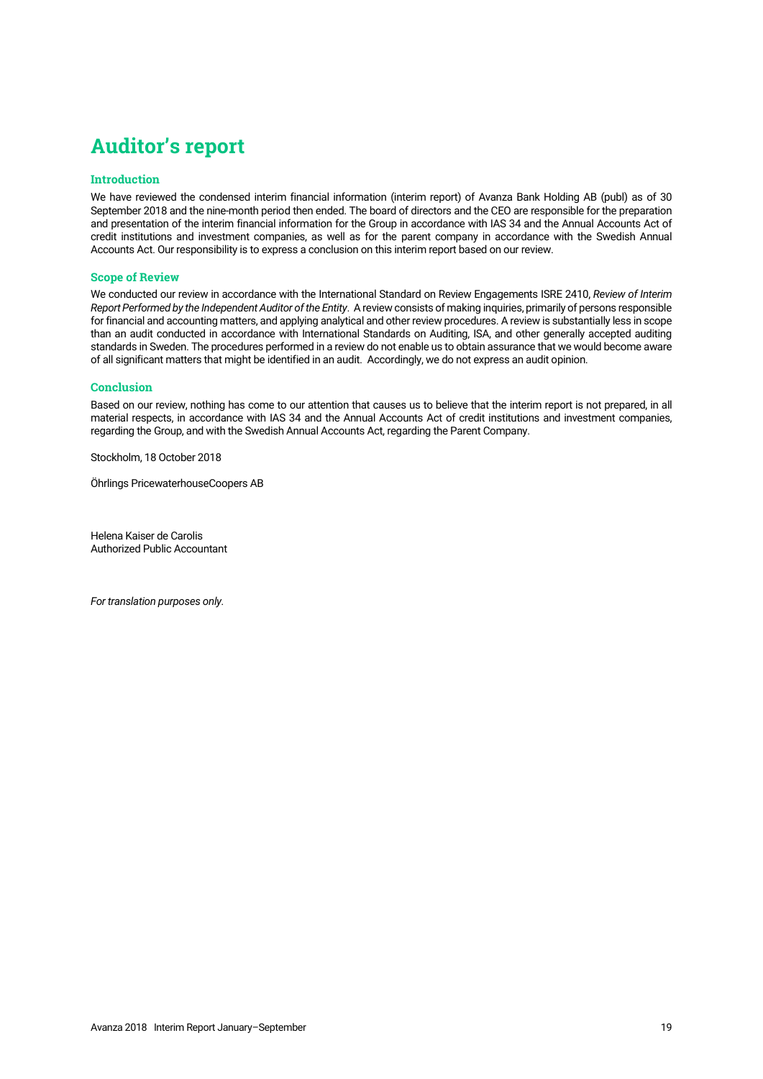# **Auditor's report**

# **Introduction**

We have reviewed the condensed interim financial information (interim report) of Avanza Bank Holding AB (publ) as of 30 September 2018 and the nine-month period then ended. The board of directors and the CEO are responsible for the preparation and presentation of the interim financial information for the Group in accordance with IAS 34 and the Annual Accounts Act of credit institutions and investment companies, as well as for the parent company in accordance with the Swedish Annual Accounts Act. Our responsibility is to express a conclusion on this interim report based on our review.

# **Scope of Review**

We conducted our review in accordance with the International Standard on Review Engagements ISRE 2410, *Review of Interim Report Performed by the Independent Auditor of the Entity*. A review consists of making inquiries, primarily of persons responsible for financial and accounting matters, and applying analytical and other review procedures. A review is substantially less in scope than an audit conducted in accordance with International Standards on Auditing, ISA, and other generally accepted auditing standards in Sweden. The procedures performed in a review do not enable us to obtain assurance that we would become aware of all significant matters that might be identified in an audit. Accordingly, we do not express an audit opinion.

# **Conclusion**

Based on our review, nothing has come to our attention that causes us to believe that the interim report is not prepared, in all material respects, in accordance with IAS 34 and the Annual Accounts Act of credit institutions and investment companies, regarding the Group, and with the Swedish Annual Accounts Act, regarding the Parent Company.

Stockholm, 18 October 2018

Öhrlings PricewaterhouseCoopers AB

Helena Kaiser de Carolis Authorized Public Accountant

*For translation purposes only.*